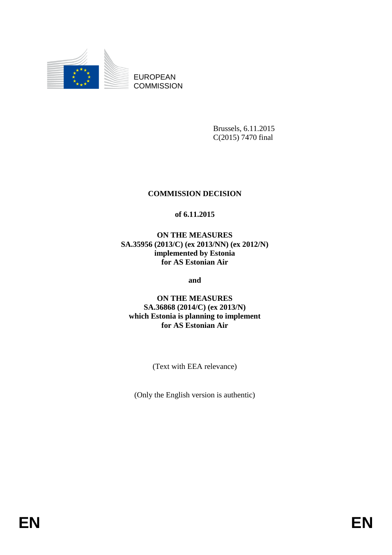

EUROPEAN **COMMISSION** 

> Brussels, 6.11.2015 C(2015) 7470 final

## **COMMISSION DECISION**

## **of 6.11.2015**

**ON THE MEASURES SA.35956 (2013/C) (ex 2013/NN) (ex 2012/N) implemented by Estonia for AS Estonian Air**

**and**

**ON THE MEASURES SA.36868 (2014/C) (ex 2013/N) which Estonia is planning to implement for AS Estonian Air**

(Text with EEA relevance)

(Only the English version is authentic)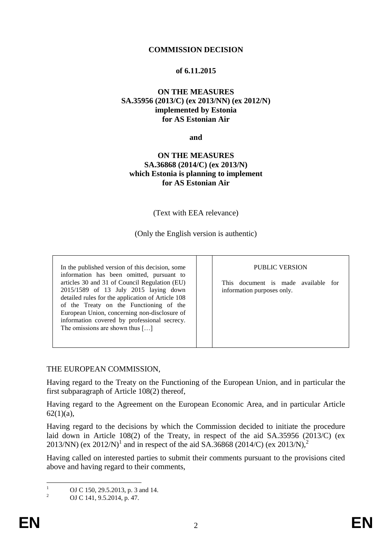### **COMMISSION DECISION**

### **of 6.11.2015**

### **ON THE MEASURES SA.35956 (2013/C) (ex 2013/NN) (ex 2012/N) implemented by Estonia for AS Estonian Air**

**and**

### **ON THE MEASURES SA.36868 (2014/C) (ex 2013/N) which Estonia is planning to implement for AS Estonian Air**

(Text with EEA relevance)

(Only the English version is authentic)

In the published version of this decision, some information has been omitted, pursuant to articles 30 and 31 of Council Regulation (EU) 2015/1589 of 13 July 2015 laying down detailed rules for the application of Article 108 of the Treaty on the Functioning of the European Union, concerning non-disclosure of information covered by professional secrecy. The omissions are shown thus [...]

#### PUBLIC VERSION

<span id="page-1-1"></span>This document is made available for information purposes only.

### THE EUROPEAN COMMISSION,

Having regard to the Treaty on the Functioning of the European Union, and in particular the first subparagraph of Article 108(2) thereof,

Having regard to the Agreement on the European Economic Area, and in particular Article  $62(1)(a)$ ,

Having regard to the decisions by which the Commission decided to initiate the procedure laid down in Article 108(2) of the Treaty, in respect of the aid SA.35956 (2013/C) (ex 2013/NN) (ex 2012/N)<sup>1</sup> and in respect of the aid SA.36868 (2014/C) (ex 2013/N),<sup>2</sup>

<span id="page-1-0"></span>Having called on interested parties to submit their comments pursuant to the provisions cited above and having regard to their comments,

 $\mathbf{1}$ <sup>1</sup> OJ C 150, 29.5.2013, p. 3 and 14.

<sup>2</sup> OJ C 141, 9.5.2014, p. 47.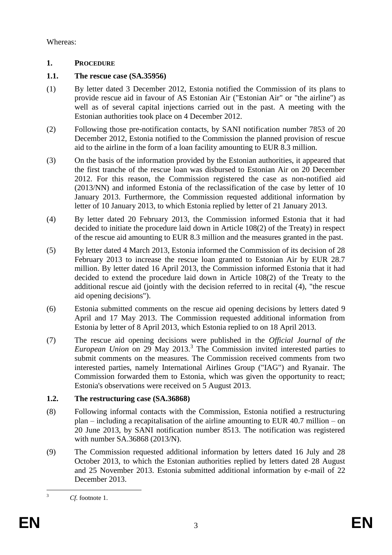Whereas:

# **1. PROCEDURE**

# **1.1. The rescue case (SA.35956)**

- (1) By letter dated 3 December 2012, Estonia notified the Commission of its plans to provide rescue aid in favour of AS Estonian Air ("Estonian Air" or "the airline") as well as of several capital injections carried out in the past. A meeting with the Estonian authorities took place on 4 December 2012.
- (2) Following those pre-notification contacts, by SANI notification number 7853 of 20 December 2012, Estonia notified to the Commission the planned provision of rescue aid to the airline in the form of a loan facility amounting to EUR 8.3 million.
- (3) On the basis of the information provided by the Estonian authorities, it appeared that the first tranche of the rescue loan was disbursed to Estonian Air on 20 December 2012. For this reason, the Commission registered the case as non-notified aid (2013/NN) and informed Estonia of the reclassification of the case by letter of 10 January 2013. Furthermore, the Commission requested additional information by letter of 10 January 2013, to which Estonia replied by letter of 21 January 2013.
- (4) By letter dated 20 February 2013, the Commission informed Estonia that it had decided to initiate the procedure laid down in Article 108(2) of the Treaty) in respect of the rescue aid amounting to EUR 8.3 million and the measures granted in the past.
- (5) By letter dated 4 March 2013, Estonia informed the Commission of its decision of 28 February 2013 to increase the rescue loan granted to Estonian Air by EUR 28.7 million. By letter dated 16 April 2013, the Commission informed Estonia that it had decided to extend the procedure laid down in Article 108(2) of the Treaty to the additional rescue aid (jointly with the decision referred to in recital (4), "the rescue aid opening decisions").
- (6) Estonia submitted comments on the rescue aid opening decisions by letters dated 9 April and 17 May 2013. The Commission requested additional information from Estonia by letter of 8 April 2013, which Estonia replied to on 18 April 2013.
- (7) The rescue aid opening decisions were published in the *Official Journal of the*  European Union on 29 May 2013.<sup>3</sup> The Commission invited interested parties to submit comments on the measures. The Commission received comments from two interested parties, namely International Airlines Group ("IAG") and Ryanair. The Commission forwarded them to Estonia, which was given the opportunity to react; Estonia's observations were received on 5 August 2013.

# **1.2. The restructuring case (SA.36868)**

- (8) Following informal contacts with the Commission, Estonia notified a restructuring plan – including a recapitalisation of the airline amounting to EUR 40.7 million – on 20 June 2013, by SANI notification number 8513. The notification was registered with number SA.36868 (2013/N).
- (9) The Commission requested additional information by letters dated 16 July and 28 October 2013, to which the Estonian authorities replied by letters dated 28 August and 25 November 2013. Estonia submitted additional information by e-mail of 22 December 2013.

 $\overline{3}$ 

<sup>3</sup> *Cf*. footnote [1.](#page-1-0)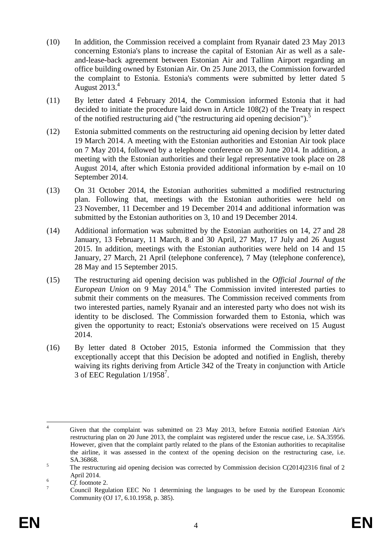- (10) In addition, the Commission received a complaint from Ryanair dated 23 May 2013 concerning Estonia's plans to increase the capital of Estonian Air as well as a saleand-lease-back agreement between Estonian Air and Tallinn Airport regarding an office building owned by Estonian Air. On 25 June 2013, the Commission forwarded the complaint to Estonia. Estonia's comments were submitted by letter dated 5 August  $2013.<sup>4</sup>$
- (11) By letter dated 4 February 2014, the Commission informed Estonia that it had decided to initiate the procedure laid down in Article 108(2) of the Treaty in respect of the notified restructuring aid ("the restructuring aid opening decision").<sup>5</sup>
- (12) Estonia submitted comments on the restructuring aid opening decision by letter dated 19 March 2014. A meeting with the Estonian authorities and Estonian Air took place on 7 May 2014, followed by a telephone conference on 30 June 2014. In addition, a meeting with the Estonian authorities and their legal representative took place on 28 August 2014, after which Estonia provided additional information by e-mail on 10 September 2014.
- (13) On 31 October 2014, the Estonian authorities submitted a modified restructuring plan. Following that, meetings with the Estonian authorities were held on 23 November, 11 December and 19 December 2014 and additional information was submitted by the Estonian authorities on 3, 10 and 19 December 2014.
- (14) Additional information was submitted by the Estonian authorities on 14, 27 and 28 January, 13 February, 11 March, 8 and 30 April, 27 May, 17 July and 26 August 2015. In addition, meetings with the Estonian authorities were held on 14 and 15 January, 27 March, 21 April (telephone conference), 7 May (telephone conference), 28 May and 15 September 2015.
- (15) The restructuring aid opening decision was published in the *Official Journal of the*  European Union on 9 May 2014.<sup>6</sup> The Commission invited interested parties to submit their comments on the measures. The Commission received comments from two interested parties, namely Ryanair and an interested party who does not wish its identity to be disclosed. The Commission forwarded them to Estonia, which was given the opportunity to react; Estonia's observations were received on 15 August 2014.
- (16) By letter dated 8 October 2015, Estonia informed the Commission that they exceptionally accept that this Decision be adopted and notified in English, thereby waiving its rights deriving from Article 342 of the Treaty in conjunction with Article 3 of EEC Regulation  $1/1958^7$ .

 $\overline{4}$ <sup>4</sup> Given that the complaint was submitted on 23 May 2013, before Estonia notified Estonian Air's restructuring plan on 20 June 2013, the complaint was registered under the rescue case, i.e. SA.35956. However, given that the complaint partly related to the plans of the Estonian authorities to recapitalise the airline, it was assessed in the context of the opening decision on the restructuring case, i.e. SA.36868.

<sup>&</sup>lt;sup>5</sup> The restructuring aid opening decision was corrected by Commission decision C(2014)2316 final of 2 April 2014.

 $\frac{6}{7}$  *Cf.* footnote [2.](#page-1-1)

<sup>7</sup> Council [Regulation EEC No 1 determining the languages to be used by the European Economic](http://eur-lex.europa.eu/legal-content/AUTO/?uri=CELEX:31958R0001(01)&qid=1445517708476&rid=3)  [Community](http://eur-lex.europa.eu/legal-content/AUTO/?uri=CELEX:31958R0001(01)&qid=1445517708476&rid=3) (OJ 17, 6.10.1958, p. 385).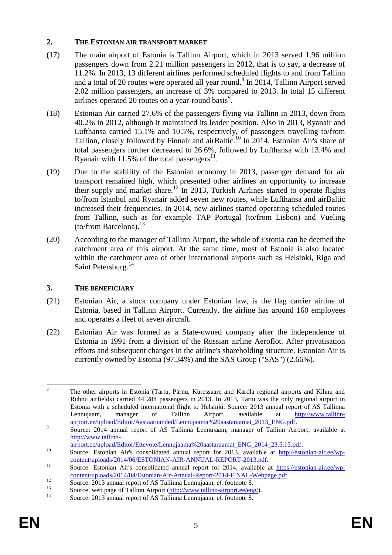# **2. THE ESTONIAN AIR TRANSPORT MARKET**

- <span id="page-4-0"></span>(17) The main airport of Estonia is Tallinn Airport, which in 2013 served 1.96 million passengers down from 2.21 million passengers in 2012, that is to say, a decrease of 11.2%. In 2013, 13 different airlines performed scheduled flights to and from Tallinn and a total of 20 routes were operated all year round.<sup>8</sup> In 2014, Tallinn Airport served 2.02 million passengers, an increase of 3% compared to 2013. In total 15 different airlines operated 20 routes on a year-round basis<sup>9</sup>.
- (18) Estonian Air carried 27.6% of the passengers flying via Tallinn in 2013, down from 40.2% in 2012, although it maintained its leader position. Also in 2013, Ryanair and Lufthansa carried 15.1% and 10.5%, respectively, of passengers travelling to/from Tallinn, closely followed by Finnair and airBaltic.<sup>10</sup> In 2014, Estonian Air's share of total passengers further decreased to 26.6%, followed by Lufthansa with 13.4% and Ryanair with 11.5% of the total passengers $^{11}$ .
- (19) Due to the stability of the Estonian economy in 2013, passenger demand for air transport remained high, which presented other airlines an opportunity to increase their supply and market share.<sup>12</sup> In 2013, Turkish Airlines started to operate flights to/from Istanbul and Ryanair added seven new routes, while Lufthansa and airBaltic increased their frequencies. In 2014, new airlines started operating scheduled routes from Tallinn, such as for example TAP Portugal (to/from Lisbon) and Vueling (to/from Barcelona).<sup>13</sup>
- (20) According to the manager of Tallinn Airport, the whole of Estonia can be deemed the catchment area of this airport. At the same time, most of Estonia is also located within the catchment area of other international airports such as Helsinki, Riga and Saint Petersburg.<sup>14</sup>

# **3. THE BENEFICIARY**

- (21) Estonian Air, a stock company under Estonian law, is the flag carrier airline of Estonia, based in Tallinn Airport. Currently, the airline has around 160 employees and operates a fleet of seven aircraft.
- (22) Estonian Air was formed as a State-owned company after the independence of Estonia in 1991 from a division of the Russian airline Aeroflot. After privatisation efforts and subsequent changes in the airline's shareholding structure, Estonian Air is currently owned by Estonia (97.34%) and the SAS Group ("SAS") (2.66%).

<sup>&</sup>lt;u>.</u> <sup>8</sup> The other airports in Estonia (Tartu, Pärnu, Kuressaare and Kärdla regional airports and Kihnu and Ruhnu airfields) carried 44 288 passengers in 2013. In 2013, Tartu was the only regional airport in Estonia with a scheduled international flight to Helsinki. Source: 2013 annual report of AS Tallinna Lennujaam, manager of Tallinn Airport, available at [http://www.tallinn](http://www.tallinn-airport.ee/upload/Editor/Aastaaruanded/Lennujaama%20aastaraamat_2013_ENG.pdf)[airport.ee/upload/Editor/Aastaaruanded/Lennujaama%20aastaraamat\\_2013\\_ENG.pdf.](http://www.tallinn-airport.ee/upload/Editor/Aastaaruanded/Lennujaama%20aastaraamat_2013_ENG.pdf)

<sup>9</sup> Source: 2014 annual report of AS Tallinna Lennujaam, manager of Tallinn Airport, available at [http://www.tallinn-](http://www.tallinn-airport.ee/upload/Editor/Ettevote/Lennujaama%20aastaraamat_ENG_2014_23.5.15.pdf)

[airport.ee/upload/Editor/Ettevote/Lennujaama%20aastaraamat\\_ENG\\_2014\\_23.5.15.pdf.](http://www.tallinn-airport.ee/upload/Editor/Ettevote/Lennujaama%20aastaraamat_ENG_2014_23.5.15.pdf)

<sup>&</sup>lt;sup>10</sup> Source: Estonian Air's consolidated annual report for 2013, available at [http://estonian-air.ee/wp](http://estonian-air.ee/wp-content/uploads/2014/06/ESTONIAN-AIR-ANNUAL-REPORT-2013.pdf)[content/uploads/2014/06/ESTONIAN-AIR-ANNUAL-REPORT-2013.pdf.](http://estonian-air.ee/wp-content/uploads/2014/06/ESTONIAN-AIR-ANNUAL-REPORT-2013.pdf) 

<sup>&</sup>lt;sup>11</sup> Source: Estonian Air's consolidated annual report for 2014, available at [https://estonian-air.ee/wp](https://estonian-air.ee/wp-content/uploads/2014/04/Estonian-Air-Annual-Report-2014-FINAL-Webpage.pdf)[content/uploads/2014/04/Estonian-Air-Annual-Report-2014-FINAL-Webpage.pdf.](https://estonian-air.ee/wp-content/uploads/2014/04/Estonian-Air-Annual-Report-2014-FINAL-Webpage.pdf) 

<sup>12</sup> Source: 2013 annual report of AS Tallinna Lennujaam, *cf*. footnote [8.](#page-4-0)

<sup>&</sup>lt;sup>13</sup> Source: web page of Tallinn Airport  $(\frac{http://www.tallinn-airport.ee/eng/}{5})$ .

Source: 2013 annual report of AS Tallinna Lennujaam, *cf*. footnote [8.](#page-4-0)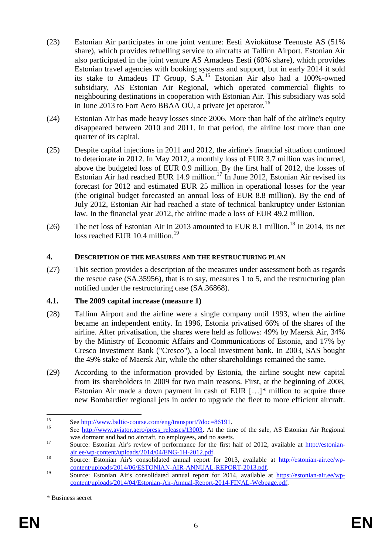- (23) Estonian Air participates in one joint venture: Eesti Aviokütuse Teenuste AS (51% share), which provides refuelling service to aircrafts at Tallinn Airport. Estonian Air also participated in the joint venture AS Amadeus Eesti (60% share), which provides Estonian travel agencies with booking systems and support, but in early 2014 it sold its stake to Amadeus IT Group, S.A.<sup>15</sup> Estonian Air also had a 100%-owned subsidiary, AS Estonian Air Regional, which operated commercial flights to neighbouring destinations in cooperation with Estonian Air. This subsidiary was sold in June 2013 to Fort Aero BBAA OÜ, a private jet operator.<sup>16</sup>
- (24) Estonian Air has made heavy losses since 2006. More than half of the airline's equity disappeared between 2010 and 2011. In that period, the airline lost more than one quarter of its capital.
- (25) Despite capital injections in 2011 and 2012, the airline's financial situation continued to deteriorate in 2012. In May 2012, a monthly loss of EUR 3.7 million was incurred, above the budgeted loss of EUR 0.9 million. By the first half of 2012, the losses of Estonian Air had reached EUR 14.9 million.<sup>17</sup> In June 2012, Estonian Air revised its forecast for 2012 and estimated EUR 25 million in operational losses for the year (the original budget forecasted an annual loss of EUR 8.8 million). By the end of July 2012, Estonian Air had reached a state of technical bankruptcy under Estonian law. In the financial year 2012, the airline made a loss of EUR 49.2 million.
- (26) The net loss of Estonian Air in 2013 amounted to EUR 8.1 million.<sup>18</sup> In 2014, its net loss reached EUR 10.4 million.<sup>19</sup>

## **4. DESCRIPTION OF THE MEASURES AND THE RESTRUCTURING PLAN**

(27) This section provides a description of the measures under assessment both as regards the rescue case (SA.35956), that is to say, measures 1 to 5, and the restructuring plan notified under the restructuring case (SA.36868).

## **4.1. The 2009 capital increase (measure 1)**

- (28) Tallinn Airport and the airline were a single company until 1993, when the airline became an independent entity. In 1996, Estonia privatised 66% of the shares of the airline. After privatisation, the shares were held as follows: 49% by Maersk Air, 34% by the Ministry of Economic Affairs and Communications of Estonia, and 17% by Cresco Investment Bank ("Cresco"), a local investment bank. In 2003, SAS bought the 49% stake of Maersk Air, while the other shareholdings remained the same.
- (29) According to the information provided by Estonia, the airline sought new capital from its shareholders in 2009 for two main reasons. First, at the beginning of 2008, Estonian Air made a down payment in cash of EUR […]\* million to acquire three new Bombardier regional jets in order to upgrade the fleet to more efficient aircraft.

 $15$ <sup>15</sup> See [http://www.baltic-course.com/eng/transport/?doc=86191.](http://www.baltic-course.com/eng/transport/?doc=86191)

See [http://www.aviator.aero/press\\_releases/13003.](http://www.aviator.aero/press_releases/13003) At the time of the sale, AS Estonian Air Regional was dormant and had no aircraft, no employees, and no assets.

<sup>&</sup>lt;sup>17</sup> Source: Estonian Air's review of performance for the first half of 2012, available at [http://estonian](http://estonian-air.ee/wp-content/uploads/2014/04/ENG-1H-2012.pdf)[air.ee/wp-content/uploads/2014/04/ENG-1H-2012.pdf.](http://estonian-air.ee/wp-content/uploads/2014/04/ENG-1H-2012.pdf)

<sup>18</sup> Source: Estonian Air's consolidated annual report for 2013, available at [http://estonian-air.ee/wp](http://estonian-air.ee/wp-content/uploads/2014/06/ESTONIAN-AIR-ANNUAL-REPORT-2013.pdf)[content/uploads/2014/06/ESTONIAN-AIR-ANNUAL-REPORT-2013.pdf.](http://estonian-air.ee/wp-content/uploads/2014/06/ESTONIAN-AIR-ANNUAL-REPORT-2013.pdf)

<sup>&</sup>lt;sup>19</sup> Source: Estonian Air's consolidated annual report for 2014, available at [https://estonian-air.ee/wp](https://estonian-air.ee/wp-content/uploads/2014/04/Estonian-Air-Annual-Report-2014-FINAL-Webpage.pdf)[content/uploads/2014/04/Estonian-Air-Annual-Report-2014-FINAL-Webpage.pdf.](https://estonian-air.ee/wp-content/uploads/2014/04/Estonian-Air-Annual-Report-2014-FINAL-Webpage.pdf) 

<sup>\*</sup> Business secret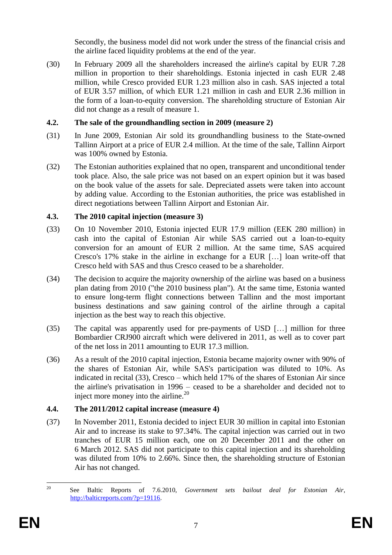Secondly, the business model did not work under the stress of the financial crisis and the airline faced liquidity problems at the end of the year.

(30) In February 2009 all the shareholders increased the airline's capital by EUR 7.28 million in proportion to their shareholdings. Estonia injected in cash EUR 2.48 million, while Cresco provided EUR 1.23 million also in cash. SAS injected a total of EUR 3.57 million, of which EUR 1.21 million in cash and EUR 2.36 million in the form of a loan-to-equity conversion. The shareholding structure of Estonian Air did not change as a result of measure 1.

# **4.2. The sale of the groundhandling section in 2009 (measure 2)**

- (31) In June 2009, Estonian Air sold its groundhandling business to the State-owned Tallinn Airport at a price of EUR 2.4 million. At the time of the sale, Tallinn Airport was 100% owned by Estonia.
- (32) The Estonian authorities explained that no open, transparent and unconditional tender took place. Also, the sale price was not based on an expert opinion but it was based on the book value of the assets for sale. Depreciated assets were taken into account by adding value. According to the Estonian authorities, the price was established in direct negotiations between Tallinn Airport and Estonian Air.

# **4.3. The 2010 capital injection (measure 3)**

- (33) On 10 November 2010, Estonia injected EUR 17.9 million (EEK 280 million) in cash into the capital of Estonian Air while SAS carried out a loan-to-equity conversion for an amount of EUR 2 million. At the same time, SAS acquired Cresco's 17% stake in the airline in exchange for a EUR […] loan write-off that Cresco held with SAS and thus Cresco ceased to be a shareholder.
- (34) The decision to acquire the majority ownership of the airline was based on a business plan dating from 2010 ("the 2010 business plan"). At the same time, Estonia wanted to ensure long-term flight connections between Tallinn and the most important business destinations and saw gaining control of the airline through a capital injection as the best way to reach this objective.
- (35) The capital was apparently used for pre-payments of USD […] million for three Bombardier CRJ900 aircraft which were delivered in 2011, as well as to cover part of the net loss in 2011 amounting to EUR 17.3 million.
- (36) As a result of the 2010 capital injection, Estonia became majority owner with 90% of the shares of Estonian Air, while SAS's participation was diluted to 10%. As indicated in recital (33), Cresco – which held 17% of the shares of Estonian Air since the airline's privatisation in 1996 – ceased to be a shareholder and decided not to inject more money into the airline.<sup>20</sup>

# **4.4. The 2011/2012 capital increase (measure 4)**

(37) In November 2011, Estonia decided to inject EUR 30 million in capital into Estonian Air and to increase its stake to 97.34%. The capital injection was carried out in two tranches of EUR 15 million each, one on 20 December 2011 and the other on 6 March 2012. SAS did not participate to this capital injection and its shareholding was diluted from 10% to 2.66%. Since then, the shareholding structure of Estonian Air has not changed.

 $20^{\circ}$ <sup>20</sup> See Baltic Reports of 7.6.2010, *Government sets bailout deal for Estonian Air*, [http://balticreports.com/?p=19116.](http://balticreports.com/?p=19116)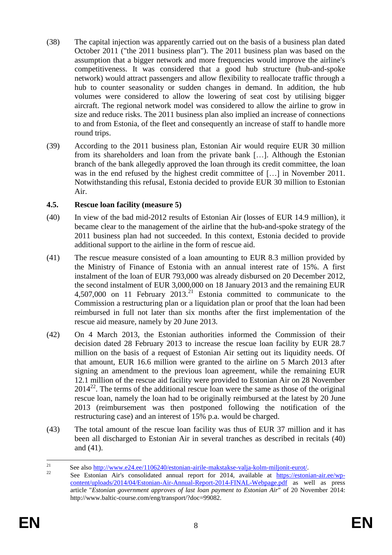- (38) The capital injection was apparently carried out on the basis of a business plan dated October 2011 ("the 2011 business plan"). The 2011 business plan was based on the assumption that a bigger network and more frequencies would improve the airline's competitiveness. It was considered that a good hub structure (hub-and-spoke network) would attract passengers and allow flexibility to reallocate traffic through a hub to counter seasonality or sudden changes in demand. In addition, the hub volumes were considered to allow the lowering of seat cost by utilising bigger aircraft. The regional network model was considered to allow the airline to grow in size and reduce risks. The 2011 business plan also implied an increase of connections to and from Estonia, of the fleet and consequently an increase of staff to handle more round trips.
- (39) According to the 2011 business plan, Estonian Air would require EUR 30 million from its shareholders and loan from the private bank […]. Although the Estonian branch of the bank allegedly approved the loan through its credit committee, the loan was in the end refused by the highest credit committee of [...] in November 2011. Notwithstanding this refusal, Estonia decided to provide EUR 30 million to Estonian Air.

## **4.5. Rescue loan facility (measure 5)**

- (40) In view of the bad mid-2012 results of Estonian Air (losses of EUR 14.9 million), it became clear to the management of the airline that the hub-and-spoke strategy of the 2011 business plan had not succeeded. In this context, Estonia decided to provide additional support to the airline in the form of rescue aid.
- (41) The rescue measure consisted of a loan amounting to EUR 8.3 million provided by the Ministry of Finance of Estonia with an annual interest rate of 15%. A first instalment of the loan of EUR 793,000 was already disbursed on 20 December 2012, the second instalment of EUR 3,000,000 on 18 January 2013 and the remaining EUR 4,507,000 on 11 February 2013.<sup>21</sup> Estonia committed to communicate to the Commission a restructuring plan or a liquidation plan or proof that the loan had been reimbursed in full not later than six months after the first implementation of the rescue aid measure, namely by 20 June 2013.
- (42) On 4 March 2013, the Estonian authorities informed the Commission of their decision dated 28 February 2013 to increase the rescue loan facility by EUR 28.7 million on the basis of a request of Estonian Air setting out its liquidity needs. Of that amount, EUR 16.6 million were granted to the airline on 5 March 2013 after signing an amendment to the previous loan agreement, while the remaining EUR 12.1 million of the rescue aid facility were provided to Estonian Air on 28 November  $2014^{22}$ . The terms of the additional rescue loan were the same as those of the original rescue loan, namely the loan had to be originally reimbursed at the latest by 20 June 2013 (reimbursement was then postponed following the notification of the restructuring case) and an interest of 15% p.a. would be charged.
- (43) The total amount of the rescue loan facility was thus of EUR 37 million and it has been all discharged to Estonian Air in several tranches as described in recitals (40) and (41).

 $21$ <sup>21</sup> See also  $\frac{http://www.e24.ee/1106240/estonian-airile-makstakse-valja-kolm-miljoint-eurot/22}$ 

<sup>22</sup> See Estonian Air's consolidated annual report for 2014, available at [https://estonian-air.ee/wp](https://estonian-air.ee/wp-content/uploads/2014/04/Estonian-Air-Annual-Report-2014-FINAL-Webpage.pdf)[content/uploads/2014/04/Estonian-Air-Annual-Report-2014-FINAL-Webpage.pdf](https://estonian-air.ee/wp-content/uploads/2014/04/Estonian-Air-Annual-Report-2014-FINAL-Webpage.pdf) as well as press article "*Estonian government approves of last loan payment to Estonian Air*" of 20 November 2014: http://www.baltic-course.com/eng/transport/?doc=99082.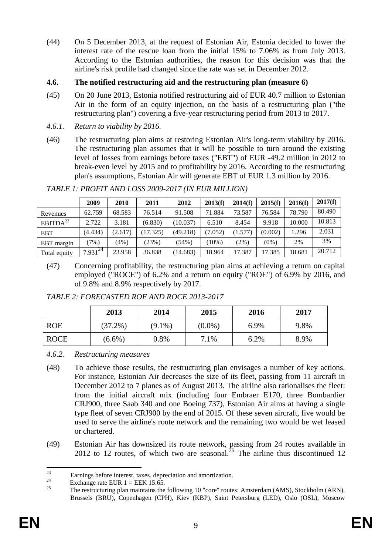(44) On 5 December 2013, at the request of Estonian Air, Estonia decided to lower the interest rate of the rescue loan from the initial 15% to 7.06% as from July 2013. According to the Estonian authorities, the reason for this decision was that the airline's risk profile had changed since the rate was set in December 2012.

## **4.6. The notified restructuring aid and the restructuring plan (measure 6)**

- (45) On 20 June 2013, Estonia notified restructuring aid of EUR 40.7 million to Estonian Air in the form of an equity injection, on the basis of a restructuring plan ("the restructuring plan") covering a five-year restructuring period from 2013 to 2017.
- *4.6.1. Return to viability by 2016.*
- (46) The restructuring plan aims at restoring Estonian Air's long-term viability by 2016. The restructuring plan assumes that it will be possible to turn around the existing level of losses from earnings before taxes ("EBT") of EUR -49.2 million in 2012 to break-even level by 2015 and to profitability by 2016. According to the restructuring plan's assumptions, Estonian Air will generate EBT of EUR 1.3 million by 2016.

|                      | 2009         | 2010    | 2011     | 2012     | 2013(f) | 2014(f) | 2015(f) | 2016(f) | 2017(f) |
|----------------------|--------------|---------|----------|----------|---------|---------|---------|---------|---------|
| Revenues             | 62.759       | 68.583  | 76.514   | 91.508   | 71.884  | 73.587  | 76.584  | 78.790  | 80.490  |
| EBITDA <sup>23</sup> | 2.722        | 3.181   | (6.830)  | (10.037) | 6.510   | 8.454   | 9.918   | 10.000  | 10.813  |
| <b>EBT</b>           | (4.434)      | (2.617) | (17.325) | (49.218) | (7.052) | (1.577) | (0.002) | 1.296   | 2.031   |
| EBT margin           | $7\%)$       | (4%)    | (23%)    | (54%)    | $10\%)$ | $(2\%)$ | $(0\%)$ | 2%      | 3%      |
| Total equity         | $7.931^{24}$ | 23.958  | 36.838   | (14.683) | 18.964  | 17.387  | 17.385  | 18.681  | 20.712  |

*TABLE 1: PROFIT AND LOSS 2009-2017 (IN EUR MILLION)*

(47) Concerning profitability, the restructuring plan aims at achieving a return on capital employed ("ROCE") of 6.2% and a return on equity ("ROE") of 6.9% by 2016, and of 9.8% and 8.9% respectively by 2017.

*TABLE 2: FORECASTED ROE AND ROCE 2013-2017*

|             | 2013       | 2014      | 2015      | 2016 | 2017 |
|-------------|------------|-----------|-----------|------|------|
| <b>ROE</b>  | $(37.2\%)$ | $(9.1\%)$ | $(0.0\%)$ | 6.9% | 9.8% |
| <b>ROCE</b> | $(6.6\%)$  | 0.8%      | 7.1%      | 6.2% | 8.9% |

*4.6.2. Restructuring measures*

- (48) To achieve those results, the restructuring plan envisages a number of key actions. For instance, Estonian Air decreases the size of its fleet, passing from 11 aircraft in December 2012 to 7 planes as of August 2013. The airline also rationalises the fleet: from the initial aircraft mix (including four Embraer E170, three Bombardier CRJ900, three Saab 340 and one Boeing 737), Estonian Air aims at having a single type fleet of seven CRJ900 by the end of 2015. Of these seven aircraft, five would be used to serve the airline's route network and the remaining two would be wet leased or chartered.
- (49) Estonian Air has downsized its route network, passing from 24 routes available in 2012 to 12 routes, of which two are seasonal.<sup>25</sup> The airline thus discontinued 12

 $23$ <sup>23</sup><br>Earnings before interest, taxes, depreciation and amortization.

<sup>&</sup>lt;sup>24</sup> Exchange rate EUR 1 = EEK 15.65.

<sup>25</sup> The restructuring plan maintains the following 10 "core" routes: Amsterdam (AMS), Stockholm (ARN), Brussels (BRU), Copenhagen (CPH), Kiev (KBP), Saint Petersburg (LED), Oslo (OSL), Moscow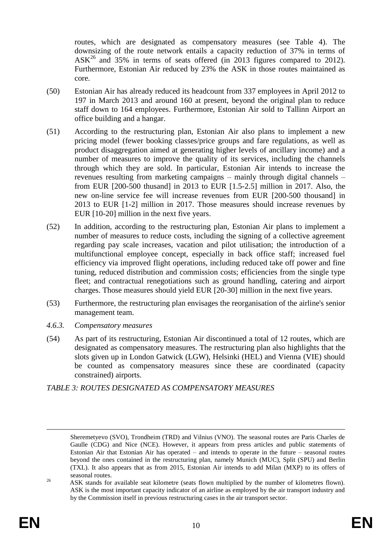routes, which are designated as compensatory measures (see Table 4). The downsizing of the route network entails a capacity reduction of 37% in terms of  $ASK^{26}$  and 35% in terms of seats offered (in 2013 figures compared to 2012). Furthermore, Estonian Air reduced by 23% the ASK in those routes maintained as core.

- (50) Estonian Air has already reduced its headcount from 337 employees in April 2012 to 197 in March 2013 and around 160 at present, beyond the original plan to reduce staff down to 164 employees. Furthermore, Estonian Air sold to Tallinn Airport an office building and a hangar.
- (51) According to the restructuring plan, Estonian Air also plans to implement a new pricing model (fewer booking classes/price groups and fare regulations, as well as product disaggregation aimed at generating higher levels of ancillary income) and a number of measures to improve the quality of its services, including the channels through which they are sold. In particular, Estonian Air intends to increase the revenues resulting from marketing campaigns – mainly through digital channels – from EUR [200-500 thusand] in 2013 to EUR [1.5-2.5] million in 2017. Also, the new on-line service fee will increase revenues from EUR [200-500 thousand] in 2013 to EUR [1-2] million in 2017. Those measures should increase revenues by EUR [10-20] million in the next five years.
- (52) In addition, according to the restructuring plan, Estonian Air plans to implement a number of measures to reduce costs, including the signing of a collective agreement regarding pay scale increases, vacation and pilot utilisation; the introduction of a multifunctional employee concept, especially in back office staff; increased fuel efficiency via improved flight operations, including reduced take off power and fine tuning, reduced distribution and commission costs; efficiencies from the single type fleet; and contractual renegotiations such as ground handling, catering and airport charges. Those measures should yield EUR [20-30] million in the next five years.
- (53) Furthermore, the restructuring plan envisages the reorganisation of the airline's senior management team.
- *4.6.3. Compensatory measures*
- (54) As part of its restructuring, Estonian Air discontinued a total of 12 routes, which are designated as compensatory measures. The restructuring plan also highlights that the slots given up in London Gatwick (LGW), Helsinki (HEL) and Vienna (VIE) should be counted as compensatory measures since these are coordinated (capacity constrained) airports.

*TABLE 3: ROUTES DESIGNATED AS COMPENSATORY MEASURES*

 $\overline{a}$ 

Sheremetyevo (SVO), Trondheim (TRD) and Vilnius (VNO). The seasonal routes are Paris Charles de Gaulle (CDG) and Nice (NCE). However, it appears from press articles and public statements of Estonian Air that Estonian Air has operated – and intends to operate in the future – seasonal routes beyond the ones contained in the restructuring plan, namely Munich (MUC), Split (SPU) and Berlin (TXL). It also appears that as from 2015, Estonian Air intends to add Milan (MXP) to its offers of seasonal routes.

<sup>&</sup>lt;sup>26</sup> ASK stands for available seat kilometre (seats flown multiplied by the number of kilometres flown). ASK is the most important capacity indicator of an airline as employed by the air transport industry and by the Commission itself in previous restructuring cases in the air transport sector.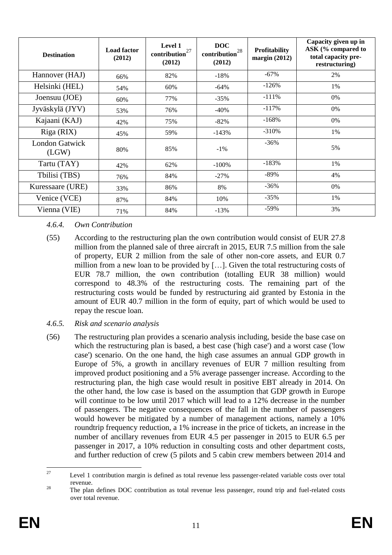| <b>Destination</b>             | <b>Load factor</b><br>(2012) | Level 1<br>$\mbox{contribution}^{27}$<br>(2012) | <b>DOC</b><br>$\mbox{contribution}^{28}$<br>(2012) | Profitability<br>margin $(2012)$ | Capacity given up in<br>ASK (% compared to<br>total capacity pre-<br>restructuring) |
|--------------------------------|------------------------------|-------------------------------------------------|----------------------------------------------------|----------------------------------|-------------------------------------------------------------------------------------|
| Hannover (HAJ)                 | 66%                          | 82%                                             | $-18%$                                             | $-67%$                           | 2%                                                                                  |
| Helsinki (HEL)                 | 54%                          | 60%                                             | $-64%$                                             | $-126%$                          | 1%                                                                                  |
| Joensuu (JOE)                  | 60%                          | 77%                                             | $-35%$                                             | $-111%$                          | 0%                                                                                  |
| Jyväskylä (JYV)                | 53%                          | 76%                                             | $-40%$                                             | $-117%$                          | 0%                                                                                  |
| Kajaani (KAJ)                  | 42%                          | 75%                                             | $-82%$                                             | $-168%$                          | 0%                                                                                  |
| Riga (RIX)                     | 45%                          | 59%                                             | $-143%$                                            | $-310%$                          | 1%                                                                                  |
| <b>London Gatwick</b><br>(LGW) | 80%                          | 85%                                             | $-1\%$                                             | $-36\%$                          | 5%                                                                                  |
| Tartu (TAY)                    | 42%                          | 62%                                             | $-100%$                                            | $-183%$                          | 1%                                                                                  |
| Tbilisi (TBS)                  | 76%                          | 84%                                             | $-27%$                                             | -89%                             | 4%                                                                                  |
| Kuressaare (URE)               | 33%                          | 86%                                             | 8%                                                 | $-36\%$                          | 0%                                                                                  |
| Venice (VCE)                   | 87%                          | 84%                                             | 10%                                                | $-35%$                           | 1%                                                                                  |
| Vienna (VIE)                   | 71%                          | 84%                                             | $-13%$                                             | $-59%$                           | 3%                                                                                  |

## *4.6.4. Own Contribution*

- (55) According to the restructuring plan the own contribution would consist of EUR 27.8 million from the planned sale of three aircraft in 2015, EUR 7.5 million from the sale of property, EUR 2 million from the sale of other non-core assets, and EUR 0.7 million from a new loan to be provided by […]. Given the total restructuring costs of EUR 78.7 million, the own contribution (totalling EUR 38 million) would correspond to 48.3% of the restructuring costs. The remaining part of the restructuring costs would be funded by restructuring aid granted by Estonia in the amount of EUR 40.7 million in the form of equity, part of which would be used to repay the rescue loan.
- *4.6.5. Risk and scenario analysis*
- (56) The restructuring plan provides a scenario analysis including, beside the base case on which the restructuring plan is based, a best case ('high case') and a worst case ('low case') scenario. On the one hand, the high case assumes an annual GDP growth in Europe of 5%, a growth in ancillary revenues of EUR 7 million resulting from improved product positioning and a 5% average passenger increase. According to the restructuring plan, the high case would result in positive EBT already in 2014. On the other hand, the low case is based on the assumption that GDP growth in Europe will continue to be low until 2017 which will lead to a 12% decrease in the number of passengers. The negative consequences of the fall in the number of passengers would however be mitigated by a number of management actions, namely a 10% roundtrip frequency reduction, a 1% increase in the price of tickets, an increase in the number of ancillary revenues from EUR 4.5 per passenger in 2015 to EUR 6.5 per passenger in 2017, a 10% reduction in consulting costs and other department costs, and further reduction of crew (5 pilots and 5 cabin crew members between 2014 and

 $27$ Level 1 contribution margin is defined as total revenue less passenger-related variable costs over total revenue.

<sup>&</sup>lt;sup>28</sup> The plan defines DOC contribution as total revenue less passenger, round trip and fuel-related costs over total revenue.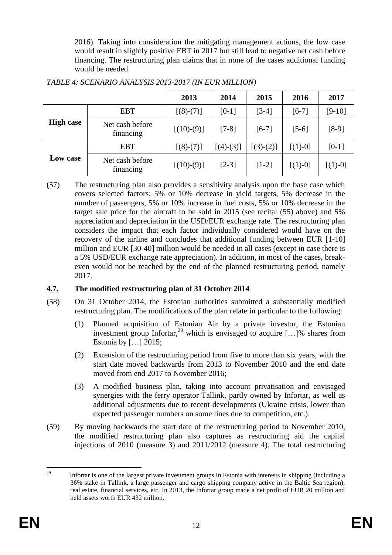2016). Taking into consideration the mitigating management actions, the low case would result in slightly positive EBT in 2017 but still lead to negative net cash before financing. The restructuring plan claims that in none of the cases additional funding would be needed.

|                  |                              | 2013         | 2014        | 2015        | 2016      | 2017      |
|------------------|------------------------------|--------------|-------------|-------------|-----------|-----------|
|                  | <b>EBT</b>                   | $[(8)-(7)]$  | $[0-1]$     | $[3-4]$     | $[6-7]$   | $[9-10]$  |
| <b>High case</b> | Net cash before<br>financing | $[(10)-(9)]$ | $[7-8]$     | $[6-7]$     | $[5-6]$   | $[8-9]$   |
|                  | <b>EBT</b>                   | $[(8)-(7)]$  | $[(4)-(3)]$ | $[(3)-(2)]$ | $[(1)-0]$ | $[0-1]$   |
| Low case         | Net cash before<br>financing | $[(10)-(9)]$ | $[2-3]$     | $[1-2]$     | $[(1)-0]$ | $[(1)-0]$ |

# *TABLE 4: SCENARIO ANALYSIS 2013-2017 (IN EUR MILLION)*

(57) The restructuring plan also provides a sensitivity analysis upon the base case which covers selected factors: 5% or 10% decrease in yield targets, 5% decrease in the number of passengers, 5% or 10% increase in fuel costs, 5% or 10% decrease in the target sale price for the aircraft to be sold in 2015 (see recital (55) above) and 5% appreciation and depreciation in the USD/EUR exchange rate. The restructuring plan considers the impact that each factor individually considered would have on the recovery of the airline and concludes that additional funding between EUR [1-10] million and EUR [30-40] million would be needed in all cases (except in case there is a 5% USD/EUR exchange rate appreciation). In addition, in most of the cases, breakeven would not be reached by the end of the planned restructuring period, namely 2017.

# **4.7. The modified restructuring plan of 31 October 2014**

- (58) On 31 October 2014, the Estonian authorities submitted a substantially modified restructuring plan. The modifications of the plan relate in particular to the following:
	- (1) Planned acquisition of Estonian Air by a private investor, the Estonian investment group Infortar,<sup>29</sup> which is envisaged to acquire  $[\dots]$ % shares from Estonia by […] 2015;
	- (2) Extension of the restructuring period from five to more than six years, with the start date moved backwards from 2013 to November 2010 and the end date moved from end 2017 to November 2016;
	- (3) A modified business plan, taking into account privatisation and envisaged synergies with the ferry operator Tallink, partly owned by Infortar, as well as additional adjustments due to recent developments (Ukraine crisis, lower than expected passenger numbers on some lines due to competition, etc.).
- (59) By moving backwards the start date of the restructuring period to November 2010, the modified restructuring plan also captures as restructuring aid the capital injections of 2010 (measure 3) and 2011/2012 (measure 4). The total restructuring

 $29$ <sup>29</sup> Infortar is one of the largest private investment groups in Estonia with interests in shipping (including a 36% stake in Tallink, a large passenger and cargo shipping company active in the Baltic Sea region), real estate, financial services, etc. In 2013, the Infortar group made a net profit of EUR 20 million and held assets worth EUR 432 million.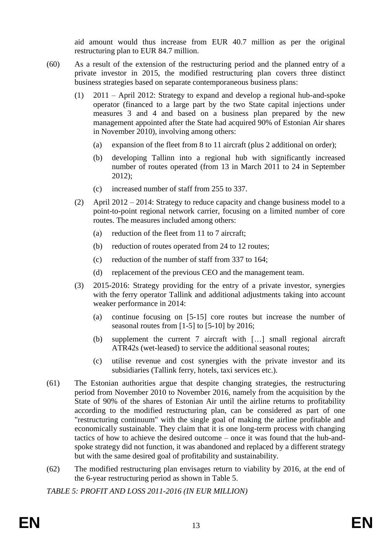aid amount would thus increase from EUR 40.7 million as per the original restructuring plan to EUR 84.7 million.

- (60) As a result of the extension of the restructuring period and the planned entry of a private investor in 2015, the modified restructuring plan covers three distinct business strategies based on separate contemporaneous business plans:
	- (1) 2011 April 2012: Strategy to expand and develop a regional hub-and-spoke operator (financed to a large part by the two State capital injections under measures 3 and 4 and based on a business plan prepared by the new management appointed after the State had acquired 90% of Estonian Air shares in November 2010), involving among others:
		- (a) expansion of the fleet from 8 to 11 aircraft (plus 2 additional on order);
		- (b) developing Tallinn into a regional hub with significantly increased number of routes operated (from 13 in March 2011 to 24 in September 2012);
		- (c) increased number of staff from 255 to 337.
	- (2) April 2012 2014: Strategy to reduce capacity and change business model to a point-to-point regional network carrier, focusing on a limited number of core routes. The measures included among others:
		- (a) reduction of the fleet from 11 to 7 aircraft;
		- (b) reduction of routes operated from 24 to 12 routes;
		- (c) reduction of the number of staff from 337 to 164;
		- (d) replacement of the previous CEO and the management team.
	- (3) 2015-2016: Strategy providing for the entry of a private investor, synergies with the ferry operator Tallink and additional adjustments taking into account weaker performance in 2014:
		- (a) continue focusing on [5-15] core routes but increase the number of seasonal routes from [1-5] to [5-10] by 2016;
		- (b) supplement the current 7 aircraft with […] small regional aircraft ATR42s (wet-leased) to service the additional seasonal routes;
		- (c) utilise revenue and cost synergies with the private investor and its subsidiaries (Tallink ferry, hotels, taxi services etc.).
- (61) The Estonian authorities argue that despite changing strategies, the restructuring period from November 2010 to November 2016, namely from the acquisition by the State of 90% of the shares of Estonian Air until the airline returns to profitability according to the modified restructuring plan, can be considered as part of one "restructuring continuum" with the single goal of making the airline profitable and economically sustainable. They claim that it is one long-term process with changing tactics of how to achieve the desired outcome – once it was found that the hub-andspoke strategy did not function, it was abandoned and replaced by a different strategy but with the same desired goal of profitability and sustainability.
- (62) The modified restructuring plan envisages return to viability by 2016, at the end of the 6-year restructuring period as shown in Table 5.

*TABLE 5: PROFIT AND LOSS 2011-2016 (IN EUR MILLION)*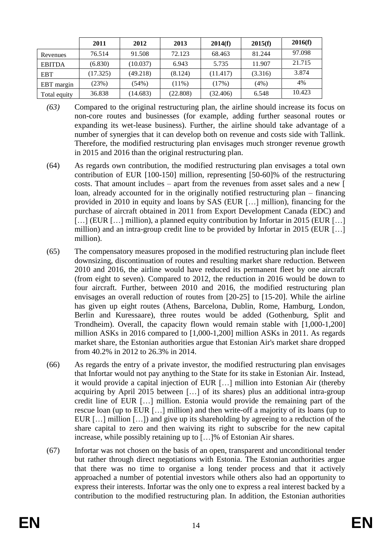|               | 2011     | 2012     | 2013     | 2014(f)  | 2015(f) | 2016(f) |
|---------------|----------|----------|----------|----------|---------|---------|
| Revenues      | 76.514   | 91.508   | 72.123   | 68.463   | 81.244  | 97.098  |
| <b>EBITDA</b> | (6.830)  | (10.037) | 6.943    | 5.735    | 11.907  | 21.715  |
| <b>EBT</b>    | (17.325) | (49.218) | (8.124)  | (11.417) | (3.316) | 3.874   |
| EBT margin    | (23%)    | $(54\%)$ | $(11\%)$ | (17%)    | (4%)    | 4%      |
| Total equity  | 36.838   | (14.683) | (22.808) | (32.406) | 6.548   | 10.423  |

- *(63)* Compared to the original restructuring plan, the airline should increase its focus on non-core routes and businesses (for example, adding further seasonal routes or expanding its wet-lease business). Further, the airline should take advantage of a number of synergies that it can develop both on revenue and costs side with Tallink. Therefore, the modified restructuring plan envisages much stronger revenue growth in 2015 and 2016 than the original restructuring plan.
- (64) As regards own contribution, the modified restructuring plan envisages a total own contribution of EUR [100-150] million, representing [50-60]% of the restructuring costs. That amount includes – apart from the revenues from asset sales and a new [ loan, already accounted for in the originally notified restructuring plan – financing provided in 2010 in equity and loans by SAS (EUR […] million), financing for the purchase of aircraft obtained in 2011 from Export Development Canada (EDC) and [...] (EUR [...] million), a planned equity contribution by Infortar in 2015 (EUR [...] million) and an intra-group credit line to be provided by Infortar in 2015 (EUR […] million).
- (65) The compensatory measures proposed in the modified restructuring plan include fleet downsizing, discontinuation of routes and resulting market share reduction. Between 2010 and 2016, the airline would have reduced its permanent fleet by one aircraft (from eight to seven). Compared to 2012, the reduction in 2016 would be down to four aircraft. Further, between 2010 and 2016, the modified restructuring plan envisages an overall reduction of routes from [20-25] to [15-20]. While the airline has given up eight routes (Athens, Barcelona, Dublin, Rome, Hamburg, London, Berlin and Kuressaare), three routes would be added (Gothenburg, Split and Trondheim). Overall, the capacity flown would remain stable with [1,000-1,200] million ASKs in 2016 compared to [1,000-1,200] million ASKs in 2011. As regards market share, the Estonian authorities argue that Estonian Air's market share dropped from 40.2% in 2012 to 26.3% in 2014.
- (66) As regards the entry of a private investor, the modified restructuring plan envisages that Infortar would not pay anything to the State for its stake in Estonian Air. Instead, it would provide a capital injection of EUR […] million into Estonian Air (thereby acquiring by April 2015 between […] of its shares) plus an additional intra-group credit line of EUR […] million. Estonia would provide the remaining part of the rescue loan (up to EUR […] million) and then write-off a majority of its loans (up to EUR […] million […]) and give up its shareholding by agreeing to a reduction of the share capital to zero and then waiving its right to subscribe for the new capital increase, while possibly retaining up to […]% of Estonian Air shares.
- (67) Infortar was not chosen on the basis of an open, transparent and unconditional tender but rather through direct negotiations with Estonia. The Estonian authorities argue that there was no time to organise a long tender process and that it actively approached a number of potential investors while others also had an opportunity to express their interests. Infortar was the only one to express a real interest backed by a contribution to the modified restructuring plan. In addition, the Estonian authorities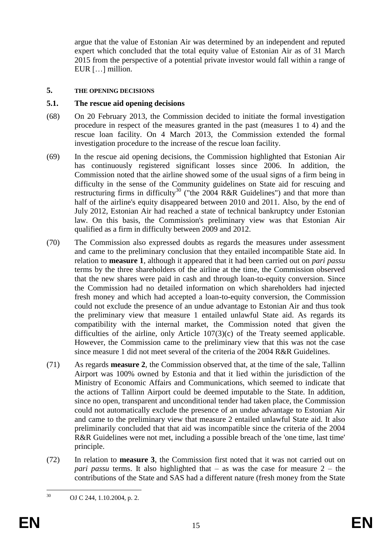argue that the value of Estonian Air was determined by an independent and reputed expert which concluded that the total equity value of Estonian Air as of 31 March 2015 from the perspective of a potential private investor would fall within a range of EUR […] million.

### **5. THE OPENING DECISIONS**

## **5.1. The rescue aid opening decisions**

- (68) On 20 February 2013, the Commission decided to initiate the formal investigation procedure in respect of the measures granted in the past (measures 1 to 4) and the rescue loan facility. On 4 March 2013, the Commission extended the formal investigation procedure to the increase of the rescue loan facility.
- (69) In the rescue aid opening decisions, the Commission highlighted that Estonian Air has continuously registered significant losses since 2006. In addition, the Commission noted that the airline showed some of the usual signs of a firm being in difficulty in the sense of the Community guidelines on State aid for rescuing and restructuring firms in difficulty<sup>30</sup> ("the 2004 R&R Guidelines") and that more than half of the airline's equity disappeared between 2010 and 2011. Also, by the end of July 2012, Estonian Air had reached a state of technical bankruptcy under Estonian law. On this basis, the Commission's preliminary view was that Estonian Air qualified as a firm in difficulty between 2009 and 2012.
- (70) The Commission also expressed doubts as regards the measures under assessment and came to the preliminary conclusion that they entailed incompatible State aid. In relation to **measure 1**, although it appeared that it had been carried out on *pari passu* terms by the three shareholders of the airline at the time, the Commission observed that the new shares were paid in cash and through loan-to-equity conversion. Since the Commission had no detailed information on which shareholders had injected fresh money and which had accepted a loan-to-equity conversion, the Commission could not exclude the presence of an undue advantage to Estonian Air and thus took the preliminary view that measure 1 entailed unlawful State aid. As regards its compatibility with the internal market, the Commission noted that given the difficulties of the airline, only Article 107(3)(c) of the Treaty seemed applicable. However, the Commission came to the preliminary view that this was not the case since measure 1 did not meet several of the criteria of the 2004 R&R Guidelines.
- (71) As regards **measure 2**, the Commission observed that, at the time of the sale, Tallinn Airport was 100% owned by Estonia and that it lied within the jurisdiction of the Ministry of Economic Affairs and Communications, which seemed to indicate that the actions of Tallinn Airport could be deemed imputable to the State. In addition, since no open, transparent and unconditional tender had taken place, the Commission could not automatically exclude the presence of an undue advantage to Estonian Air and came to the preliminary view that measure 2 entailed unlawful State aid. It also preliminarily concluded that that aid was incompatible since the criteria of the 2004 R&R Guidelines were not met, including a possible breach of the 'one time, last time' principle.
- (72) In relation to **measure 3**, the Commission first noted that it was not carried out on *pari passu* terms. It also highlighted that – as was the case for measure 2 – the contributions of the State and SAS had a different nature (fresh money from the State

 $30$ <sup>30</sup> OJ C 244, 1.10.2004, p. 2.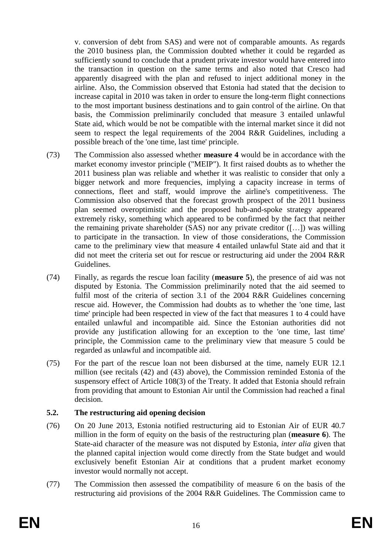v. conversion of debt from SAS) and were not of comparable amounts. As regards the 2010 business plan, the Commission doubted whether it could be regarded as sufficiently sound to conclude that a prudent private investor would have entered into the transaction in question on the same terms and also noted that Cresco had apparently disagreed with the plan and refused to inject additional money in the airline. Also, the Commission observed that Estonia had stated that the decision to increase capital in 2010 was taken in order to ensure the long-term flight connections to the most important business destinations and to gain control of the airline. On that basis, the Commission preliminarily concluded that measure 3 entailed unlawful State aid, which would be not be compatible with the internal market since it did not seem to respect the legal requirements of the 2004 R&R Guidelines, including a possible breach of the 'one time, last time' principle.

- (73) The Commission also assessed whether **measure 4** would be in accordance with the market economy investor principle ("MEIP"). It first raised doubts as to whether the 2011 business plan was reliable and whether it was realistic to consider that only a bigger network and more frequencies, implying a capacity increase in terms of connections, fleet and staff, would improve the airline's competitiveness. The Commission also observed that the forecast growth prospect of the 2011 business plan seemed overoptimistic and the proposed hub-and-spoke strategy appeared extremely risky, something which appeared to be confirmed by the fact that neither the remaining private shareholder  $(SAS)$  nor any private creditor  $([-...]$  was willing to participate in the transaction. In view of those considerations, the Commission came to the preliminary view that measure 4 entailed unlawful State aid and that it did not meet the criteria set out for rescue or restructuring aid under the 2004 R&R Guidelines.
- (74) Finally, as regards the rescue loan facility (**measure 5**), the presence of aid was not disputed by Estonia. The Commission preliminarily noted that the aid seemed to fulfil most of the criteria of section 3.1 of the 2004 R&R Guidelines concerning rescue aid. However, the Commission had doubts as to whether the 'one time, last time' principle had been respected in view of the fact that measures 1 to 4 could have entailed unlawful and incompatible aid. Since the Estonian authorities did not provide any justification allowing for an exception to the 'one time, last time' principle, the Commission came to the preliminary view that measure 5 could be regarded as unlawful and incompatible aid.
- (75) For the part of the rescue loan not been disbursed at the time, namely EUR 12.1 million (see recitals (42) and (43) above), the Commission reminded Estonia of the suspensory effect of Article 108(3) of the Treaty. It added that Estonia should refrain from providing that amount to Estonian Air until the Commission had reached a final decision.

## **5.2. The restructuring aid opening decision**

- (76) On 20 June 2013, Estonia notified restructuring aid to Estonian Air of EUR 40.7 million in the form of equity on the basis of the restructuring plan (**measure 6**). The State-aid character of the measure was not disputed by Estonia, *inter alia* given that the planned capital injection would come directly from the State budget and would exclusively benefit Estonian Air at conditions that a prudent market economy investor would normally not accept.
- (77) The Commission then assessed the compatibility of measure 6 on the basis of the restructuring aid provisions of the 2004 R&R Guidelines. The Commission came to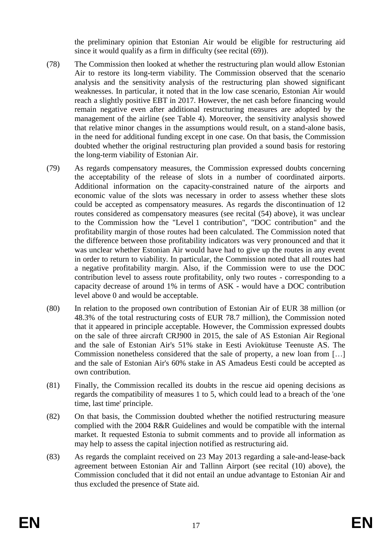the preliminary opinion that Estonian Air would be eligible for restructuring aid since it would qualify as a firm in difficulty (see recital (69)).

- (78) The Commission then looked at whether the restructuring plan would allow Estonian Air to restore its long-term viability. The Commission observed that the scenario analysis and the sensitivity analysis of the restructuring plan showed significant weaknesses. In particular, it noted that in the low case scenario, Estonian Air would reach a slightly positive EBT in 2017. However, the net cash before financing would remain negative even after additional restructuring measures are adopted by the management of the airline (see Table 4). Moreover, the sensitivity analysis showed that relative minor changes in the assumptions would result, on a stand-alone basis, in the need for additional funding except in one case. On that basis, the Commission doubted whether the original restructuring plan provided a sound basis for restoring the long-term viability of Estonian Air.
- (79) As regards compensatory measures, the Commission expressed doubts concerning the acceptability of the release of slots in a number of coordinated airports. Additional information on the capacity-constrained nature of the airports and economic value of the slots was necessary in order to assess whether these slots could be accepted as compensatory measures. As regards the discontinuation of 12 routes considered as compensatory measures (see recital (54) above), it was unclear to the Commission how the "Level 1 contribution", "DOC contribution" and the profitability margin of those routes had been calculated. The Commission noted that the difference between those profitability indicators was very pronounced and that it was unclear whether Estonian Air would have had to give up the routes in any event in order to return to viability. In particular, the Commission noted that all routes had a negative profitability margin. Also, if the Commission were to use the DOC contribution level to assess route profitability, only two routes - corresponding to a capacity decrease of around 1% in terms of ASK - would have a DOC contribution level above 0 and would be acceptable.
- (80) In relation to the proposed own contribution of Estonian Air of EUR 38 million (or 48.3% of the total restructuring costs of EUR 78.7 million), the Commission noted that it appeared in principle acceptable. However, the Commission expressed doubts on the sale of three aircraft CRJ900 in 2015, the sale of AS Estonian Air Regional and the sale of Estonian Air's 51% stake in Eesti Aviokütuse Teenuste AS. The Commission nonetheless considered that the sale of property, a new loan from […] and the sale of Estonian Air's 60% stake in AS Amadeus Eesti could be accepted as own contribution.
- (81) Finally, the Commission recalled its doubts in the rescue aid opening decisions as regards the compatibility of measures 1 to 5, which could lead to a breach of the 'one time, last time' principle.
- (82) On that basis, the Commission doubted whether the notified restructuring measure complied with the 2004 R&R Guidelines and would be compatible with the internal market. It requested Estonia to submit comments and to provide all information as may help to assess the capital injection notified as restructuring aid.
- (83) As regards the complaint received on 23 May 2013 regarding a sale-and-lease-back agreement between Estonian Air and Tallinn Airport (see recital (10) above), the Commission concluded that it did not entail an undue advantage to Estonian Air and thus excluded the presence of State aid.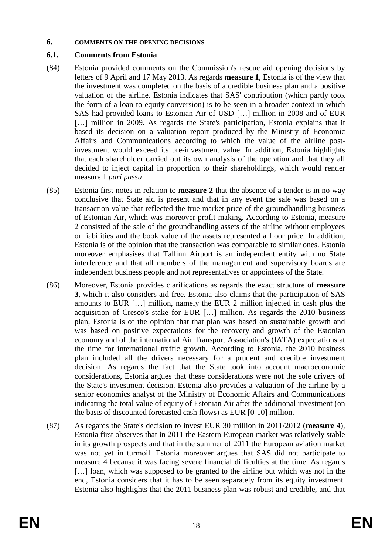#### **6. COMMENTS ON THE OPENING DECISIONS**

### **6.1. Comments from Estonia**

- (84) Estonia provided comments on the Commission's rescue aid opening decisions by letters of 9 April and 17 May 2013. As regards **measure 1**, Estonia is of the view that the investment was completed on the basis of a credible business plan and a positive valuation of the airline. Estonia indicates that SAS' contribution (which partly took the form of a loan-to-equity conversion) is to be seen in a broader context in which SAS had provided loans to Estonian Air of USD […] million in 2008 and of EUR [...] million in 2009. As regards the State's participation, Estonia explains that it based its decision on a valuation report produced by the Ministry of Economic Affairs and Communications according to which the value of the airline postinvestment would exceed its pre-investment value. In addition, Estonia highlights that each shareholder carried out its own analysis of the operation and that they all decided to inject capital in proportion to their shareholdings, which would render measure 1 *pari passu*.
- (85) Estonia first notes in relation to **measure 2** that the absence of a tender is in no way conclusive that State aid is present and that in any event the sale was based on a transaction value that reflected the true market price of the groundhandling business of Estonian Air, which was moreover profit-making. According to Estonia, measure 2 consisted of the sale of the groundhandling assets of the airline without employees or liabilities and the book value of the assets represented a floor price. In addition, Estonia is of the opinion that the transaction was comparable to similar ones. Estonia moreover emphasises that Tallinn Airport is an independent entity with no State interference and that all members of the management and supervisory boards are independent business people and not representatives or appointees of the State.
- (86) Moreover, Estonia provides clarifications as regards the exact structure of **measure 3**, which it also considers aid-free. Estonia also claims that the participation of SAS amounts to EUR […] million, namely the EUR 2 million injected in cash plus the acquisition of Cresco's stake for EUR […] million. As regards the 2010 business plan, Estonia is of the opinion that that plan was based on sustainable growth and was based on positive expectations for the recovery and growth of the Estonian economy and of the international Air Transport Association's (IATA) expectations at the time for international traffic growth. According to Estonia, the 2010 business plan included all the drivers necessary for a prudent and credible investment decision. As regards the fact that the State took into account macroeconomic considerations, Estonia argues that these considerations were not the sole drivers of the State's investment decision. Estonia also provides a valuation of the airline by a senior economics analyst of the Ministry of Economic Affairs and Communications indicating the total value of equity of Estonian Air after the additional investment (on the basis of discounted forecasted cash flows) as EUR [0-10] million.
- (87) As regards the State's decision to invest EUR 30 million in 2011/2012 (**measure 4**), Estonia first observes that in 2011 the Eastern European market was relatively stable in its growth prospects and that in the summer of 2011 the European aviation market was not yet in turmoil. Estonia moreover argues that SAS did not participate to measure 4 because it was facing severe financial difficulties at the time. As regards [...] loan, which was supposed to be granted to the airline but which was not in the end, Estonia considers that it has to be seen separately from its equity investment. Estonia also highlights that the 2011 business plan was robust and credible, and that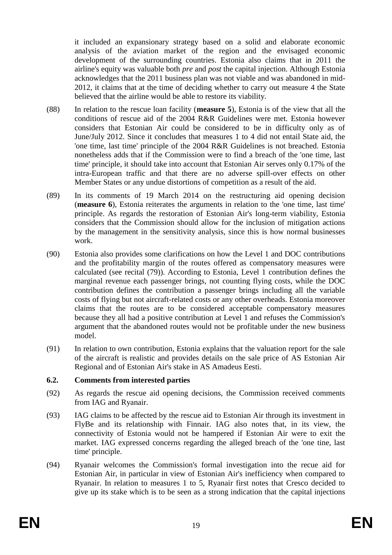it included an expansionary strategy based on a solid and elaborate economic analysis of the aviation market of the region and the envisaged economic development of the surrounding countries. Estonia also claims that in 2011 the airline's equity was valuable both *pre* and *post* the capital injection. Although Estonia acknowledges that the 2011 business plan was not viable and was abandoned in mid-2012, it claims that at the time of deciding whether to carry out measure 4 the State believed that the airline would be able to restore its viability.

- (88) In relation to the rescue loan facility (**measure 5**), Estonia is of the view that all the conditions of rescue aid of the 2004 R&R Guidelines were met. Estonia however considers that Estonian Air could be considered to be in difficulty only as of June/July 2012. Since it concludes that measures 1 to 4 did not entail State aid, the 'one time, last time' principle of the 2004 R&R Guidelines is not breached. Estonia nonetheless adds that if the Commission were to find a breach of the 'one time, last time' principle, it should take into account that Estonian Air serves only 0.17% of the intra-European traffic and that there are no adverse spill-over effects on other Member States or any undue distortions of competition as a result of the aid.
- (89) In its comments of 19 March 2014 on the restructuring aid opening decision (**measure 6**), Estonia reiterates the arguments in relation to the 'one time, last time' principle. As regards the restoration of Estonian Air's long-term viability, Estonia considers that the Commission should allow for the inclusion of mitigation actions by the management in the sensitivity analysis, since this is how normal businesses work.
- (90) Estonia also provides some clarifications on how the Level 1 and DOC contributions and the profitability margin of the routes offered as compensatory measures were calculated (see recital (79)). According to Estonia, Level 1 contribution defines the marginal revenue each passenger brings, not counting flying costs, while the DOC contribution defines the contribution a passenger brings including all the variable costs of flying but not aircraft-related costs or any other overheads. Estonia moreover claims that the routes are to be considered acceptable compensatory measures because they all had a positive contribution at Level 1 and refuses the Commission's argument that the abandoned routes would not be profitable under the new business model.
- (91) In relation to own contribution, Estonia explains that the valuation report for the sale of the aircraft is realistic and provides details on the sale price of AS Estonian Air Regional and of Estonian Air's stake in AS Amadeus Eesti.

### **6.2. Comments from interested parties**

- (92) As regards the rescue aid opening decisions, the Commission received comments from IAG and Ryanair.
- (93) IAG claims to be affected by the rescue aid to Estonian Air through its investment in FlyBe and its relationship with Finnair. IAG also notes that, in its view, the connectivity of Estonia would not be hampered if Estonian Air were to exit the market. IAG expressed concerns regarding the alleged breach of the 'one tine, last time' principle.
- (94) Ryanair welcomes the Commission's formal investigation into the recue aid for Estonian Air, in particular in view of Estonian Air's inefficiency when compared to Ryanair. In relation to measures 1 to 5, Ryanair first notes that Cresco decided to give up its stake which is to be seen as a strong indication that the capital injections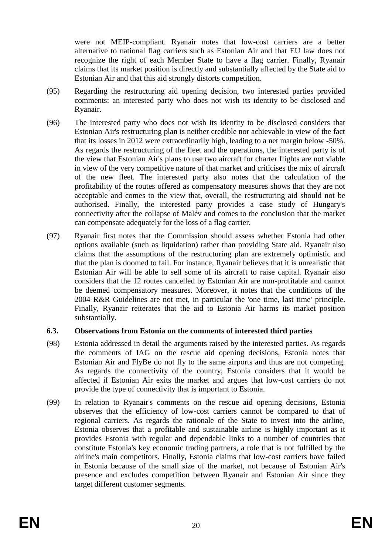were not MEIP-compliant. Ryanair notes that low-cost carriers are a better alternative to national flag carriers such as Estonian Air and that EU law does not recognize the right of each Member State to have a flag carrier. Finally, Ryanair claims that its market position is directly and substantially affected by the State aid to Estonian Air and that this aid strongly distorts competition.

- (95) Regarding the restructuring aid opening decision, two interested parties provided comments: an interested party who does not wish its identity to be disclosed and Ryanair.
- (96) The interested party who does not wish its identity to be disclosed considers that Estonian Air's restructuring plan is neither credible nor achievable in view of the fact that its losses in 2012 were extraordinarily high, leading to a net margin below -50%. As regards the restructuring of the fleet and the operations, the interested party is of the view that Estonian Air's plans to use two aircraft for charter flights are not viable in view of the very competitive nature of that market and criticises the mix of aircraft of the new fleet. The interested party also notes that the calculation of the profitability of the routes offered as compensatory measures shows that they are not acceptable and comes to the view that, overall, the restructuring aid should not be authorised. Finally, the interested party provides a case study of Hungary's connectivity after the collapse of Malév and comes to the conclusion that the market can compensate adequately for the loss of a flag carrier.
- (97) Ryanair first notes that the Commission should assess whether Estonia had other options available (such as liquidation) rather than providing State aid. Ryanair also claims that the assumptions of the restructuring plan are extremely optimistic and that the plan is doomed to fail. For instance, Ryanair believes that it is unrealistic that Estonian Air will be able to sell some of its aircraft to raise capital. Ryanair also considers that the 12 routes cancelled by Estonian Air are non-profitable and cannot be deemed compensatory measures. Moreover, it notes that the conditions of the 2004 R&R Guidelines are not met, in particular the 'one time, last time' principle. Finally, Ryanair reiterates that the aid to Estonia Air harms its market position substantially.

### **6.3. Observations from Estonia on the comments of interested third parties**

- (98) Estonia addressed in detail the arguments raised by the interested parties. As regards the comments of IAG on the rescue aid opening decisions, Estonia notes that Estonian Air and FlyBe do not fly to the same airports and thus are not competing. As regards the connectivity of the country, Estonia considers that it would be affected if Estonian Air exits the market and argues that low-cost carriers do not provide the type of connectivity that is important to Estonia.
- (99) In relation to Ryanair's comments on the rescue aid opening decisions, Estonia observes that the efficiency of low-cost carriers cannot be compared to that of regional carriers. As regards the rationale of the State to invest into the airline, Estonia observes that a profitable and sustainable airline is highly important as it provides Estonia with regular and dependable links to a number of countries that constitute Estonia's key economic trading partners, a role that is not fulfilled by the airline's main competitors. Finally, Estonia claims that low-cost carriers have failed in Estonia because of the small size of the market, not because of Estonian Air's presence and excludes competition between Ryanair and Estonian Air since they target different customer segments.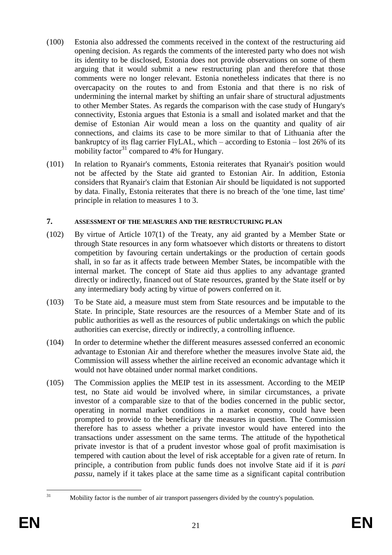- (100) Estonia also addressed the comments received in the context of the restructuring aid opening decision. As regards the comments of the interested party who does not wish its identity to be disclosed, Estonia does not provide observations on some of them arguing that it would submit a new restructuring plan and therefore that those comments were no longer relevant. Estonia nonetheless indicates that there is no overcapacity on the routes to and from Estonia and that there is no risk of undermining the internal market by shifting an unfair share of structural adjustments to other Member States. As regards the comparison with the case study of Hungary's connectivity, Estonia argues that Estonia is a small and isolated market and that the demise of Estonian Air would mean a loss on the quantity and quality of air connections, and claims its case to be more similar to that of Lithuania after the bankruptcy of its flag carrier FlyLAL, which – according to Estonia – lost 26% of its mobility factor<sup>31</sup> compared to 4% for Hungary.
- (101) In relation to Ryanair's comments, Estonia reiterates that Ryanair's position would not be affected by the State aid granted to Estonian Air. In addition, Estonia considers that Ryanair's claim that Estonian Air should be liquidated is not supported by data. Finally, Estonia reiterates that there is no breach of the 'one time, last time' principle in relation to measures 1 to 3.

## **7. ASSESSMENT OF THE MEASURES AND THE RESTRUCTURING PLAN**

- (102) By virtue of Article 107(1) of the Treaty, any aid granted by a Member State or through State resources in any form whatsoever which distorts or threatens to distort competition by favouring certain undertakings or the production of certain goods shall, in so far as it affects trade between Member States, be incompatible with the internal market. The concept of State aid thus applies to any advantage granted directly or indirectly, financed out of State resources, granted by the State itself or by any intermediary body acting by virtue of powers conferred on it.
- (103) To be State aid, a measure must stem from State resources and be imputable to the State. In principle, State resources are the resources of a Member State and of its public authorities as well as the resources of public undertakings on which the public authorities can exercise, directly or indirectly, a controlling influence.
- (104) In order to determine whether the different measures assessed conferred an economic advantage to Estonian Air and therefore whether the measures involve State aid, the Commission will assess whether the airline received an economic advantage which it would not have obtained under normal market conditions.
- (105) The Commission applies the MEIP test in its assessment. According to the MEIP test, no State aid would be involved where, in similar circumstances, a private investor of a comparable size to that of the bodies concerned in the public sector, operating in normal market conditions in a market economy, could have been prompted to provide to the beneficiary the measures in question. The Commission therefore has to assess whether a private investor would have entered into the transactions under assessment on the same terms. The attitude of the hypothetical private investor is that of a prudent investor whose goal of profit maximisation is tempered with caution about the level of risk acceptable for a given rate of return. In principle, a contribution from public funds does not involve State aid if it is *pari passu*, namely if it takes place at the same time as a significant capital contribution

 $31$ 

Mobility factor is the number of air transport passengers divided by the country's population.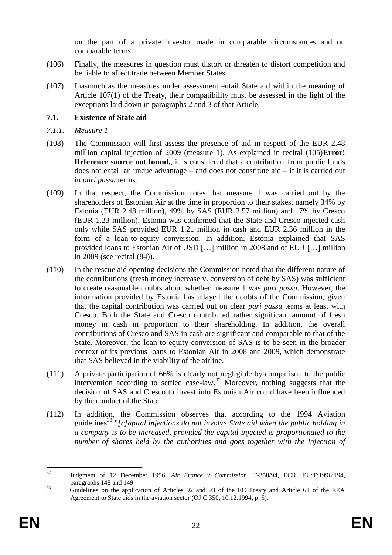on the part of a private investor made in comparable circumstances and on comparable terms.

- (106) Finally, the measures in question must distort or threaten to distort competition and be liable to affect trade between Member States.
- (107) Inasmuch as the measures under assessment entail State aid within the meaning of Article 107(1) of the Treaty, their compatibility must be assessed in the light of the exceptions laid down in paragraphs 2 and 3 of that Article.

## **7.1. Existence of State aid**

- *7.1.1. Measure 1*
- (108) The Commission will first assess the presence of aid in respect of the EUR 2.48 million capital injection of 2009 (measure 1). As explained in recital (105)**Error! Reference source not found.**, it is considered that a contribution from public funds does not entail an undue advantage – and does not constitute aid – if it is carried out in *pari passu* terms.
- (109) In that respect, the Commission notes that measure 1 was carried out by the shareholders of Estonian Air at the time in proportion to their stakes, namely 34% by Estonia (EUR 2.48 million), 49% by SAS (EUR 3.57 million) and 17% by Cresco (EUR 1.23 million). Estonia was confirmed that the State and Cresco injected cash only while SAS provided EUR 1.21 million in cash and EUR 2.36 million in the form of a loan-to-equity conversion. In addition, Estonia explained that SAS provided loans to Estonian Air of USD […] million in 2008 and of EUR […] million in 2009 (see recital (84)).
- (110) In the rescue aid opening decisions the Commission noted that the different nature of the contributions (fresh money increase v. conversion of debt by SAS) was sufficient to create reasonable doubts about whether measure 1 was *pari passu*. However, the information provided by Estonia has allayed the doubts of the Commission, given that the capital contribution was carried out on clear *pari passu* terms at least with Cresco. Both the State and Cresco contributed rather significant amount of fresh money in cash in proportion to their shareholding. In addition, the overall contributions of Cresco and SAS in cash are significant and comparable to that of the State. Moreover, the loan-to-equity conversion of SAS is to be seen in the broader context of its previous loans to Estonian Air in 2008 and 2009, which demonstrate that SAS believed in the viability of the airline.
- (111) A private participation of 66% is clearly not negligible by comparison to the public intervention according to settled case-law.<sup>32</sup> Moreover, nothing suggests that the decision of SAS and Cresco to invest into Estonian Air could have been influenced by the conduct of the State.
- (112) In addition, the Commission observes that according to the 1994 Aviation guidelines<sup>33</sup> "*[c]apital injections do not involve State aid when the public holding in a company is to be increased, provided the capital injected is proportionated to the number of shares held by the authorities and goes together with the injection of*

 $32$ <sup>32</sup> Judgment of 12 December 1996, *Air France v Commission*, T-358/94, ECR, EU:T:1996:194, paragraphs 148 and 149.

<sup>&</sup>lt;sup>33</sup> Guidelines on the application of Articles 92 and 93 of the EC Treaty and Article 61 of the EEA Agreement to State aids in the aviation sector (OJ C 350, 10.12.1994, p. 5).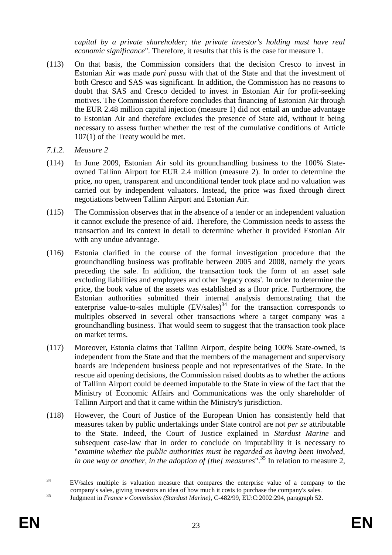*capital by a private shareholder; the private investor's holding must have real economic significance*". Therefore, it results that this is the case for measure 1.

- (113) On that basis, the Commission considers that the decision Cresco to invest in Estonian Air was made *pari passu* with that of the State and that the investment of both Cresco and SAS was significant. In addition, the Commission has no reasons to doubt that SAS and Cresco decided to invest in Estonian Air for profit-seeking motives. The Commission therefore concludes that financing of Estonian Air through the EUR 2.48 million capital injection (measure 1) did not entail an undue advantage to Estonian Air and therefore excludes the presence of State aid, without it being necessary to assess further whether the rest of the cumulative conditions of Article 107(1) of the Treaty would be met.
- *7.1.2. Measure 2*
- (114) In June 2009, Estonian Air sold its groundhandling business to the 100% Stateowned Tallinn Airport for EUR 2.4 million (measure 2). In order to determine the price, no open, transparent and unconditional tender took place and no valuation was carried out by independent valuators. Instead, the price was fixed through direct negotiations between Tallinn Airport and Estonian Air.
- (115) The Commission observes that in the absence of a tender or an independent valuation it cannot exclude the presence of aid. Therefore, the Commission needs to assess the transaction and its context in detail to determine whether it provided Estonian Air with any undue advantage.
- (116) Estonia clarified in the course of the formal investigation procedure that the groundhandling business was profitable between 2005 and 2008, namely the years preceding the sale. In addition, the transaction took the form of an asset sale excluding liabilities and employees and other 'legacy costs'. In order to determine the price, the book value of the assets was established as a floor price. Furthermore, the Estonian authorities submitted their internal analysis demonstrating that the enterprise value-to-sales multiple  $(EV/sales)^{34}$  for the transaction corresponds to multiples observed in several other transactions where a target company was a groundhandling business. That would seem to suggest that the transaction took place on market terms.
- (117) Moreover, Estonia claims that Tallinn Airport, despite being 100% State-owned, is independent from the State and that the members of the management and supervisory boards are independent business people and not representatives of the State. In the rescue aid opening decisions, the Commission raised doubts as to whether the actions of Tallinn Airport could be deemed imputable to the State in view of the fact that the Ministry of Economic Affairs and Communications was the only shareholder of Tallinn Airport and that it came within the Ministry's jurisdiction.
- (118) However, the Court of Justice of the European Union has consistently held that measures taken by public undertakings under State control are not *per se* attributable to the State. Indeed, the Court of Justice explained in *Stardust Marine* and subsequent case-law that in order to conclude on imputability it is necessary to "*examine whether the public authorities must be regarded as having been involved, in one way or another, in the adoption of [the] measures*".<sup>35</sup> In relation to measure 2,

 $34$ <sup>34</sup> EV/sales multiple is valuation measure that compares the enterprise value of a company to the company's sales, giving investors an idea of how much it costs to purchase the company's sales.

<sup>35</sup> Judgment in *France v Commission (Stardust Marine)*, C-482/99, EU:C:2002:294, paragraph 52.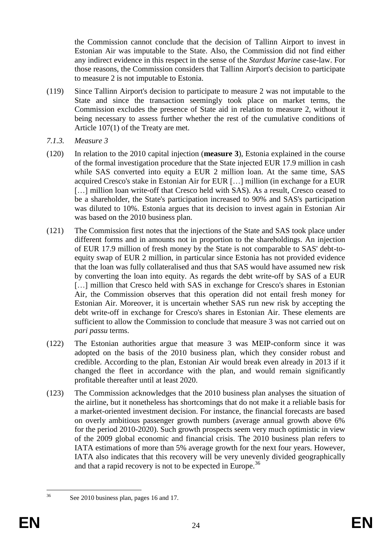the Commission cannot conclude that the decision of Tallinn Airport to invest in Estonian Air was imputable to the State. Also, the Commission did not find either any indirect evidence in this respect in the sense of the *Stardust Marine* case-law. For those reasons, the Commission considers that Tallinn Airport's decision to participate to measure 2 is not imputable to Estonia.

- (119) Since Tallinn Airport's decision to participate to measure 2 was not imputable to the State and since the transaction seemingly took place on market terms, the Commission excludes the presence of State aid in relation to measure 2, without it being necessary to assess further whether the rest of the cumulative conditions of Article 107(1) of the Treaty are met.
- *7.1.3. Measure 3*
- (120) In relation to the 2010 capital injection (**measure 3**), Estonia explained in the course of the formal investigation procedure that the State injected EUR 17.9 million in cash while SAS converted into equity a EUR 2 million loan. At the same time, SAS acquired Cresco's stake in Estonian Air for EUR […] million (in exchange for a EUR [...] million loan write-off that Cresco held with SAS). As a result, Cresco ceased to be a shareholder, the State's participation increased to 90% and SAS's participation was diluted to 10%. Estonia argues that its decision to invest again in Estonian Air was based on the 2010 business plan.
- (121) The Commission first notes that the injections of the State and SAS took place under different forms and in amounts not in proportion to the shareholdings. An injection of EUR 17.9 million of fresh money by the State is not comparable to SAS' debt-toequity swap of EUR 2 million, in particular since Estonia has not provided evidence that the loan was fully collateralised and thus that SAS would have assumed new risk by converting the loan into equity. As regards the debt write-off by SAS of a EUR [...] million that Cresco held with SAS in exchange for Cresco's shares in Estonian Air, the Commission observes that this operation did not entail fresh money for Estonian Air. Moreover, it is uncertain whether SAS run new risk by accepting the debt write-off in exchange for Cresco's shares in Estonian Air. These elements are sufficient to allow the Commission to conclude that measure 3 was not carried out on *pari passu* terms.
- (122) The Estonian authorities argue that measure 3 was MEIP-conform since it was adopted on the basis of the 2010 business plan, which they consider robust and credible. According to the plan, Estonian Air would break even already in 2013 if it changed the fleet in accordance with the plan, and would remain significantly profitable thereafter until at least 2020.
- (123) The Commission acknowledges that the 2010 business plan analyses the situation of the airline, but it nonetheless has shortcomings that do not make it a reliable basis for a market-oriented investment decision. For instance, the financial forecasts are based on overly ambitious passenger growth numbers (average annual growth above 6% for the period 2010-2020). Such growth prospects seem very much optimistic in view of the 2009 global economic and financial crisis. The 2010 business plan refers to IATA estimations of more than 5% average growth for the next four years. However, IATA also indicates that this recovery will be very unevenly divided geographically and that a rapid recovery is not to be expected in Europe.<sup>36</sup>

 $36$ 

See 2010 business plan, pages 16 and 17.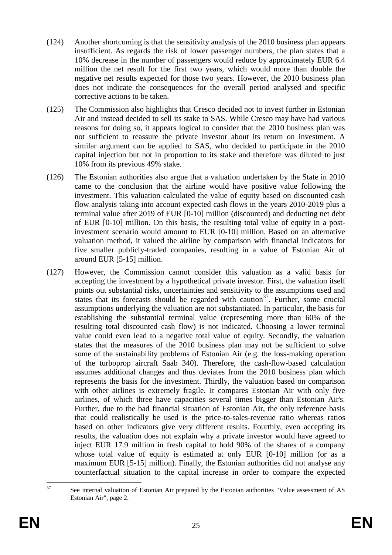- (124) Another shortcoming is that the sensitivity analysis of the 2010 business plan appears insufficient. As regards the risk of lower passenger numbers, the plan states that a 10% decrease in the number of passengers would reduce by approximately EUR 6.4 million the net result for the first two years, which would more than double the negative net results expected for those two years. However, the 2010 business plan does not indicate the consequences for the overall period analysed and specific corrective actions to be taken.
- (125) The Commission also highlights that Cresco decided not to invest further in Estonian Air and instead decided to sell its stake to SAS. While Cresco may have had various reasons for doing so, it appears logical to consider that the 2010 business plan was not sufficient to reassure the private investor about its return on investment. A similar argument can be applied to SAS, who decided to participate in the 2010 capital injection but not in proportion to its stake and therefore was diluted to just 10% from its previous 49% stake.
- (126) The Estonian authorities also argue that a valuation undertaken by the State in 2010 came to the conclusion that the airline would have positive value following the investment. This valuation calculated the value of equity based on discounted cash flow analysis taking into account expected cash flows in the years 2010-2019 plus a terminal value after 2019 of EUR [0-10] million (discounted) and deducting net debt of EUR [0-10] million. On this basis, the resulting total value of equity in a postinvestment scenario would amount to EUR [0-10] million. Based on an alternative valuation method, it valued the airline by comparison with financial indicators for five smaller publicly-traded companies, resulting in a value of Estonian Air of around EUR [5-15] million.
- (127) However, the Commission cannot consider this valuation as a valid basis for accepting the investment by a hypothetical private investor. First, the valuation itself points out substantial risks, uncertainties and sensitivity to the assumptions used and states that its forecasts should be regarded with caution<sup>37</sup>. Further, some crucial assumptions underlying the valuation are not substantiated. In particular, the basis for establishing the substantial terminal value (representing more than 60% of the resulting total discounted cash flow) is not indicated. Choosing a lower terminal value could even lead to a negative total value of equity. Secondly, the valuation states that the measures of the 2010 business plan may not be sufficient to solve some of the sustainability problems of Estonian Air (e.g. the loss-making operation of the turboprop aircraft Saab 340). Therefore, the cash-flow-based calculation assumes additional changes and thus deviates from the 2010 business plan which represents the basis for the investment. Thirdly, the valuation based on comparison with other airlines is extremely fragile. It compares Estonian Air with only five airlines, of which three have capacities several times bigger than Estonian Air's. Further, due to the bad financial situation of Estonian Air, the only reference basis that could realistically be used is the price-to-sales-revenue ratio whereas ratios based on other indicators give very different results. Fourthly, even accepting its results, the valuation does not explain why a private investor would have agreed to inject EUR 17.9 million in fresh capital to hold 90% of the shares of a company whose total value of equity is estimated at only EUR [0-10] million (or as a maximum EUR [5-15] million). Finally, the Estonian authorities did not analyse any counterfactual situation to the capital increase in order to compare the expected

 $37$ See internal valuation of Estonian Air prepared by the Estonian authorities "Value assessment of AS Estonian Air", page 2.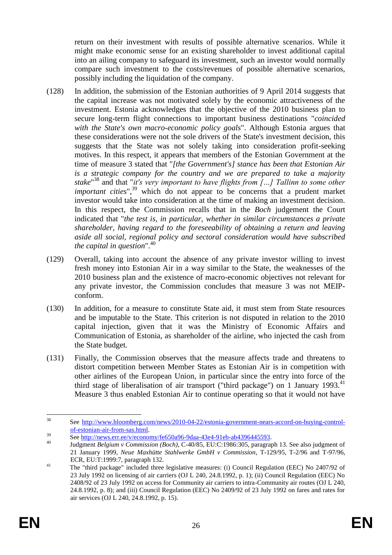return on their investment with results of possible alternative scenarios. While it might make economic sense for an existing shareholder to invest additional capital into an ailing company to safeguard its investment, such an investor would normally compare such investment to the costs/revenues of possible alternative scenarios, possibly including the liquidation of the company.

- (128) In addition, the submission of the Estonian authorities of 9 April 2014 suggests that the capital increase was not motivated solely by the economic attractiveness of the investment. Estonia acknowledges that the objective of the 2010 business plan to secure long-term flight connections to important business destinations "*coincided with the State's own macro-economic policy goals*". Although Estonia argues that these considerations were not the sole drivers of the State's investment decision, this suggests that the State was not solely taking into consideration profit-seeking motives. In this respect, it appears that members of the Estonian Government at the time of measure 3 stated that "*[the Government's] stance has been that Estonian Air is a strategic company for the country and we are prepared to take a majority stake*" <sup>38</sup> and that "*it's very important to have flights from […] Tallinn to some other important cities*",<sup>39</sup> which do not appear to be concerns that a prudent market investor would take into consideration at the time of making an investment decision. In this respect, the Commission recalls that in the *Boch* judgement the Court indicated that "*the test is, in particular, whether in similar circumstances a private shareholder, having regard to the foreseeability of obtaining a return and leaving aside all social, regional policy and sectoral consideration would have subscribed the capital in question*".<sup>40</sup>
- (129) Overall, taking into account the absence of any private investor willing to invest fresh money into Estonian Air in a way similar to the State, the weaknesses of the 2010 business plan and the existence of macro-economic objectives not relevant for any private investor, the Commission concludes that measure 3 was not MEIPconform.
- (130) In addition, for a measure to constitute State aid, it must stem from State resources and be imputable to the State. This criterion is not disputed in relation to the 2010 capital injection, given that it was the Ministry of Economic Affairs and Communication of Estonia, as shareholder of the airline, who injected the cash from the State budget.
- (131) Finally, the Commission observes that the measure affects trade and threatens to distort competition between Member States as Estonian Air is in competition with other airlines of the European Union, in particular since the entry into force of the third stage of liberalisation of air transport ("third package") on 1 January 1993. $41$ Measure 3 thus enabled Estonian Air to continue operating so that it would not have

 $38$ See [http://www.bloomberg.com/news/2010-04-22/estonia-government-nears-accord-on-buying-control](http://www.bloomberg.com/news/2010-04-22/estonia-government-nears-accord-on-buying-control-of-estonian-air-from-sas.html)[of-estonian-air-from-sas.html.](http://www.bloomberg.com/news/2010-04-22/estonia-government-nears-accord-on-buying-control-of-estonian-air-from-sas.html)

 $\frac{39}{5}$  See http://news.err.ee/v/economy/fe650a96-9daa-43e4-91eb-ab4396445593.

<sup>40</sup> Judgment *Belgium v Commission (Boch)*, C-40/85, EU:C:1986:305, paragraph 13. See also judgment of 21 January 1999, *Neue Maxhütte Stahlwerke GmbH v Commission*, T-129/95, T-2/96 and T-97/96, ECR, EU:T:1999:7, paragraph 132.

<sup>41</sup> The "third package" included three legislative measures: (i) Council Regulation (EEC) No 2407/92 of 23 July 1992 on licensing of air carriers (OJ L 240, 24.8.1992, p. 1); (ii) Council Regulation (EEC) No 2408/92 of 23 July 1992 on access for Community air carriers to intra-Community air routes (OJ L 240, 24.8.1992, p. 8); and (iii) Council Regulation (EEC) No 2409/92 of 23 July 1992 on fares and rates for air services (OJ L 240, 24.8.1992, p. 15).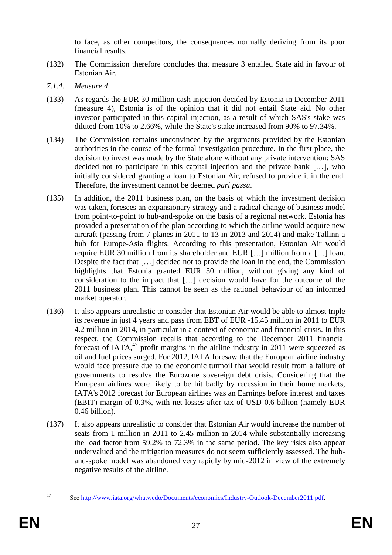to face, as other competitors, the consequences normally deriving from its poor financial results.

- (132) The Commission therefore concludes that measure 3 entailed State aid in favour of Estonian Air.
- *7.1.4. Measure 4*
- (133) As regards the EUR 30 million cash injection decided by Estonia in December 2011 (measure 4), Estonia is of the opinion that it did not entail State aid. No other investor participated in this capital injection, as a result of which SAS's stake was diluted from 10% to 2.66%, while the State's stake increased from 90% to 97.34%.
- (134) The Commission remains unconvinced by the arguments provided by the Estonian authorities in the course of the formal investigation procedure. In the first place, the decision to invest was made by the State alone without any private intervention: SAS decided not to participate in this capital injection and the private bank […], who initially considered granting a loan to Estonian Air, refused to provide it in the end. Therefore, the investment cannot be deemed *pari passu*.
- (135) In addition, the 2011 business plan, on the basis of which the investment decision was taken, foresees an expansionary strategy and a radical change of business model from point-to-point to hub-and-spoke on the basis of a regional network. Estonia has provided a presentation of the plan according to which the airline would acquire new aircraft (passing from 7 planes in 2011 to 13 in 2013 and 2014) and make Tallinn a hub for Europe-Asia flights. According to this presentation, Estonian Air would require EUR 30 million from its shareholder and EUR […] million from a […] loan. Despite the fact that […] decided not to provide the loan in the end, the Commission highlights that Estonia granted EUR 30 million, without giving any kind of consideration to the impact that […] decision would have for the outcome of the 2011 business plan. This cannot be seen as the rational behaviour of an informed market operator.
- (136) It also appears unrealistic to consider that Estonian Air would be able to almost triple its revenue in just 4 years and pass from EBT of EUR -15.45 million in 2011 to EUR 4.2 million in 2014, in particular in a context of economic and financial crisis. In this respect, the Commission recalls that according to the December 2011 financial forecast of IATA, $42$  profit margins in the airline industry in 2011 were squeezed as oil and fuel prices surged. For 2012, IATA foresaw that the European airline industry would face pressure due to the economic turmoil that would result from a failure of governments to resolve the Eurozone sovereign debt crisis. Considering that the European airlines were likely to be hit badly by recession in their home markets, IATA's 2012 forecast for European airlines was an Earnings before interest and taxes (EBIT) margin of 0.3%, with net losses after tax of USD 0.6 billion (namely EUR 0.46 billion).
- (137) It also appears unrealistic to consider that Estonian Air would increase the number of seats from 1 million in 2011 to 2.45 million in 2014 while substantially increasing the load factor from 59.2% to 72.3% in the same period. The key risks also appear undervalued and the mitigation measures do not seem sufficiently assessed. The huband-spoke model was abandoned very rapidly by mid-2012 in view of the extremely negative results of the airline.

 $42$ 

See [http://www.iata.org/whatwedo/Documents/economics/Industry-Outlook-December2011.pdf.](http://www.iata.org/whatwedo/Documents/economics/Industry-Outlook-December2011.pdf)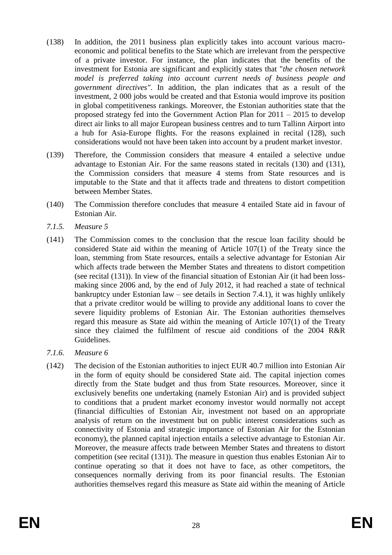- (138) In addition, the 2011 business plan explicitly takes into account various macroeconomic and political benefits to the State which are irrelevant from the perspective of a private investor. For instance, the plan indicates that the benefits of the investment for Estonia are significant and explicitly states that "*the chosen network model is preferred taking into account current needs of business people and government directives"*. In addition, the plan indicates that as a result of the investment, 2 000 jobs would be created and that Estonia would improve its position in global competitiveness rankings. Moreover, the Estonian authorities state that the proposed strategy fed into the Government Action Plan for 2011 – 2015 to develop direct air links to all major European business centres and to turn Tallinn Airport into a hub for Asia-Europe flights. For the reasons explained in recital (128), such considerations would not have been taken into account by a prudent market investor.
- (139) Therefore, the Commission considers that measure 4 entailed a selective undue advantage to Estonian Air. For the same reasons stated in recitals (130) and (131), the Commission considers that measure 4 stems from State resources and is imputable to the State and that it affects trade and threatens to distort competition between Member States.
- (140) The Commission therefore concludes that measure 4 entailed State aid in favour of Estonian Air.
- *7.1.5. Measure 5*
- (141) The Commission comes to the conclusion that the rescue loan facility should be considered State aid within the meaning of Article 107(1) of the Treaty since the loan, stemming from State resources, entails a selective advantage for Estonian Air which affects trade between the Member States and threatens to distort competition (see recital (131)). In view of the financial situation of Estonian Air (it had been lossmaking since 2006 and, by the end of July 2012, it had reached a state of technical bankruptcy under Estonian law – see details in Section 7.4.1), it was highly unlikely that a private creditor would be willing to provide any additional loans to cover the severe liquidity problems of Estonian Air. The Estonian authorities themselves regard this measure as State aid within the meaning of Article 107(1) of the Treaty since they claimed the fulfilment of rescue aid conditions of the 2004 R&R Guidelines.
- *7.1.6. Measure 6*
- (142) The decision of the Estonian authorities to inject EUR 40.7 million into Estonian Air in the form of equity should be considered State aid. The capital injection comes directly from the State budget and thus from State resources. Moreover, since it exclusively benefits one undertaking (namely Estonian Air) and is provided subject to conditions that a prudent market economy investor would normally not accept (financial difficulties of Estonian Air, investment not based on an appropriate analysis of return on the investment but on public interest considerations such as connectivity of Estonia and strategic importance of Estonian Air for the Estonian economy), the planned capital injection entails a selective advantage to Estonian Air. Moreover, the measure affects trade between Member States and threatens to distort competition (see recital (131)). The measure in question thus enables Estonian Air to continue operating so that it does not have to face, as other competitors, the consequences normally deriving from its poor financial results. The Estonian authorities themselves regard this measure as State aid within the meaning of Article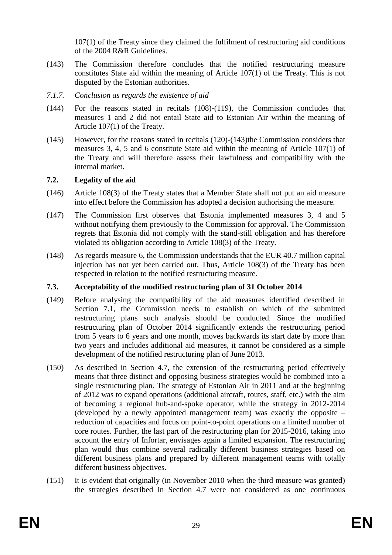107(1) of the Treaty since they claimed the fulfilment of restructuring aid conditions of the 2004 R&R Guidelines.

- (143) The Commission therefore concludes that the notified restructuring measure constitutes State aid within the meaning of Article 107(1) of the Treaty. This is not disputed by the Estonian authorities.
- *7.1.7. Conclusion as regards the existence of aid*
- (144) For the reasons stated in recitals (108)-(119), the Commission concludes that measures 1 and 2 did not entail State aid to Estonian Air within the meaning of Article 107(1) of the Treaty.
- (145) However, for the reasons stated in recitals (120)-(143)the Commission considers that measures 3, 4, 5 and 6 constitute State aid within the meaning of Article 107(1) of the Treaty and will therefore assess their lawfulness and compatibility with the internal market.

## **7.2. Legality of the aid**

- (146) Article 108(3) of the Treaty states that a Member State shall not put an aid measure into effect before the Commission has adopted a decision authorising the measure.
- (147) The Commission first observes that Estonia implemented measures 3, 4 and 5 without notifying them previously to the Commission for approval. The Commission regrets that Estonia did not comply with the stand-still obligation and has therefore violated its obligation according to Article 108(3) of the Treaty.
- (148) As regards measure 6, the Commission understands that the EUR 40.7 million capital injection has not yet been carried out. Thus, Article 108(3) of the Treaty has been respected in relation to the notified restructuring measure.

## **7.3. Acceptability of the modified restructuring plan of 31 October 2014**

- (149) Before analysing the compatibility of the aid measures identified described in Section 7.1, the Commission needs to establish on which of the submitted restructuring plans such analysis should be conducted. Since the modified restructuring plan of October 2014 significantly extends the restructuring period from 5 years to 6 years and one month, moves backwards its start date by more than two years and includes additional aid measures, it cannot be considered as a simple development of the notified restructuring plan of June 2013.
- (150) As described in Section 4.7, the extension of the restructuring period effectively means that three distinct and opposing business strategies would be combined into a single restructuring plan. The strategy of Estonian Air in 2011 and at the beginning of 2012 was to expand operations (additional aircraft, routes, staff, etc.) with the aim of becoming a regional hub-and-spoke operator, while the strategy in 2012-2014 (developed by a newly appointed management team) was exactly the opposite – reduction of capacities and focus on point-to-point operations on a limited number of core routes. Further, the last part of the restructuring plan for 2015-2016, taking into account the entry of Infortar, envisages again a limited expansion. The restructuring plan would thus combine several radically different business strategies based on different business plans and prepared by different management teams with totally different business objectives.
- (151) It is evident that originally (in November 2010 when the third measure was granted) the strategies described in Section 4.7 were not considered as one continuous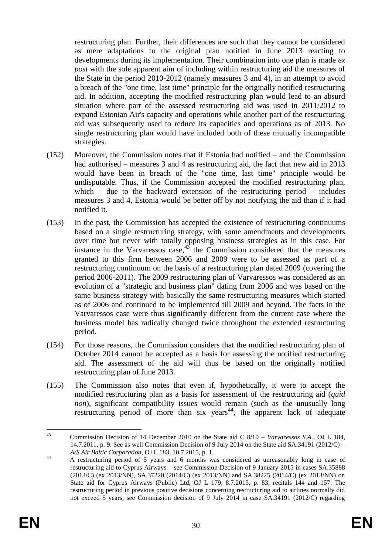restructuring plan. Further, their differences are such that they cannot be considered as mere adaptations to the original plan notified in June 2013 reacting to developments during its implementation. Their combination into one plan is made *ex post* with the sole apparent aim of including within restructuring aid the measures of the State in the period 2010-2012 (namely measures 3 and 4), in an attempt to avoid a breach of the "one time, last time" principle for the originally notified restructuring aid. In addition, accepting the modified restructuring plan would lead to an absurd situation where part of the assessed restructuring aid was used in 2011/2012 to expand Estonian Air's capacity and operations while another part of the restructuring aid was subsequently used to reduce its capacities and operations as of 2013. No single restructuring plan would have included both of these mutually incompatible strategies.

- (152) Moreover, the Commission notes that if Estonia had notified and the Commission had authorised – measures 3 and 4 as restructuring aid, the fact that new aid in 2013 would have been in breach of the "one time, last time" principle would be undisputable. Thus, if the Commission accepted the modified restructuring plan, which – due to the backward extension of the restructuring period – includes measures 3 and 4, Estonia would be better off by not notifying the aid than if it had notified it.
- (153) In the past, the Commission has accepted the existence of restructuring continuums based on a single restructuring strategy, with some amendments and developments over time but never with totally opposing business strategies as in this case. For instance in the Varvaressos case,  $43$  the Commission considered that the measures granted to this firm between 2006 and 2009 were to be assessed as part of a restructuring continuum on the basis of a restructuring plan dated 2009 (covering the period 2006-2011). The 2009 restructuring plan of Varvaressos was considered as an evolution of a "strategic and business plan" dating from 2006 and was based on the same business strategy with basically the same restructuring measures which started as of 2006 and continued to be implemented till 2009 and beyond. The facts in the Varvaressos case were thus significantly different from the current case where the business model has radically changed twice throughout the extended restructuring period.
- (154) For those reasons, the Commission considers that the modified restructuring plan of October 2014 cannot be accepted as a basis for assessing the notified restructuring aid. The assessment of the aid will thus be based on the originally notified restructuring plan of June 2013.
- (155) The Commission also notes that even if, hypothetically, it were to accept the modified restructuring plan as a basis for assessment of the restructuring aid (*quid non*), significant compatibility issues would remain (such as the unusually long restructuring period of more than six years<sup>44</sup>, the apparent lack of adequate

 $43$ <sup>43</sup> Commission Decision of 14 December 2010 on the State aid C 8/10 – *Varvaressos S.A.*, OJ L 184, 14.7.2011, p. 9. See as well Commission Decision of 9 July 2014 on the State aid SA.34191 (2012/C) – *A/S Air Baltic Corporation*, OJ L 183, 10.7.2015, p. 1.

<sup>44</sup> A restructuring period of 5 years and 6 months was considered as unreasonably long in case of restructuring aid to Cyprus Airways – see Commission Decision of 9 January 2015 in cases SA.35888 (2013/C) (ex 2013/NN), SA.37220 (2014/C) (ex 2013/NN) and SA.38225 (2014/C) (ex 2013/NN) on State aid for Cyprus Airways (Public) Ltd, OJ L 179, 8.7.2015, p. 83, recitals 144 and 157. The restructuring period in previous positive decisions concerning restructuring aid to airlines normally did not exceed 5 years, see Commission decision of 9 July 2014 in case SA.34191 (2012/C) regarding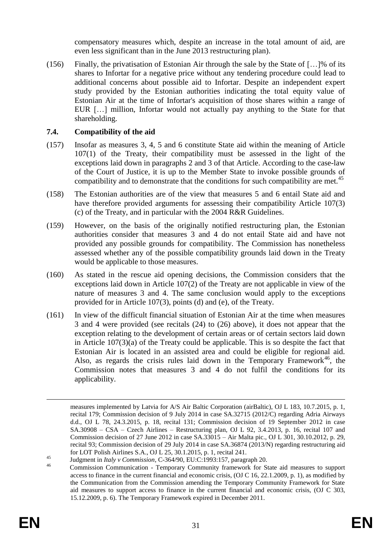compensatory measures which, despite an increase in the total amount of aid, are even less significant than in the June 2013 restructuring plan).

(156) Finally, the privatisation of Estonian Air through the sale by the State of […]% of its shares to Infortar for a negative price without any tendering procedure could lead to additional concerns about possible aid to Infortar. Despite an independent expert study provided by the Estonian authorities indicating the total equity value of Estonian Air at the time of Infortar's acquisition of those shares within a range of EUR […] million, Infortar would not actually pay anything to the State for that shareholding.

# **7.4. Compatibility of the aid**

- (157) Insofar as measures 3, 4, 5 and 6 constitute State aid within the meaning of Article 107(1) of the Treaty, their compatibility must be assessed in the light of the exceptions laid down in paragraphs 2 and 3 of that Article. According to the case-law of the Court of Justice, it is up to the Member State to invoke possible grounds of compatibility and to demonstrate that the conditions for such compatibility are met.<sup>45</sup>
- (158) The Estonian authorities are of the view that measures 5 and 6 entail State aid and have therefore provided arguments for assessing their compatibility Article 107(3) (c) of the Treaty, and in particular with the 2004 R&R Guidelines.
- (159) However, on the basis of the originally notified restructuring plan, the Estonian authorities consider that measures 3 and 4 do not entail State aid and have not provided any possible grounds for compatibility. The Commission has nonetheless assessed whether any of the possible compatibility grounds laid down in the Treaty would be applicable to those measures.
- (160) As stated in the rescue aid opening decisions, the Commission considers that the exceptions laid down in Article 107(2) of the Treaty are not applicable in view of the nature of measures 3 and 4. The same conclusion would apply to the exceptions provided for in Article 107(3), points (d) and (e), of the Treaty.
- (161) In view of the difficult financial situation of Estonian Air at the time when measures 3 and 4 were provided (see recitals (24) to (26) above), it does not appear that the exception relating to the development of certain areas or of certain sectors laid down in Article 107(3)(a) of the Treaty could be applicable. This is so despite the fact that Estonian Air is located in an assisted area and could be eligible for regional aid. Also, as regards the crisis rules laid down in the Temporary Framework<sup>46</sup>, the Commission notes that measures 3 and 4 do not fulfil the conditions for its applicability.

 $\overline{a}$ 

measures implemented by Latvia for A/S Air Baltic Corporation (airBaltic), OJ L 183, 10.7.2015, p. 1, recital 179; Commission decision of 9 July 2014 in case SA.32715 (2012/C) regarding Adria Airways d.d., OJ L 78, 24.3.2015, p. 18, recital 131; Commission decision of 19 September 2012 in case SA.30908 – CSA – Czech Airlines – Restructuring plan, OJ L 92, 3.4.2013, p. 16, recital 107 and Commission decision of 27 June 2012 in case SA.33015 – Air Malta pic., OJ L 301, 30.10.2012, p. 29, recital 93; Commission decision of 29 July 2014 in case SA.36874 (2013/N) regarding restructuring aid for LOT Polish Airlines S.A., OJ L 25, 30.1.2015, p. 1, recital 241.

<sup>45</sup> Judgment in *Italy v Commission*, C-364/90, EU:C:1993:157, paragraph 20.

<sup>46</sup> Commission Communication - Temporary Community framework for State aid measures to support access to finance in the current financial and economic crisis, (OJ C 16, 22.1.2009, p. 1), as modified by the Communication from the Commission amending the Temporary Community Framework for State aid measures to support access to finance in the current financial and economic crisis, (OJ C 303, 15.12.2009, p. 6). The Temporary Framework expired in December 2011.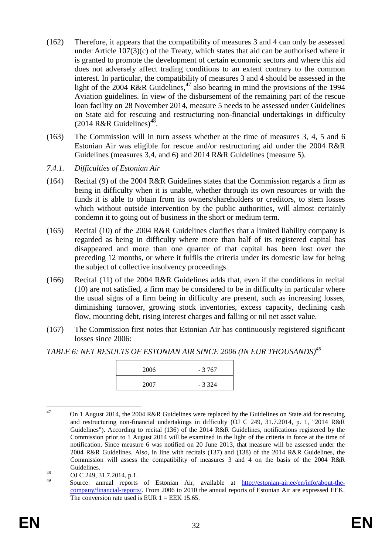- (162) Therefore, it appears that the compatibility of measures 3 and 4 can only be assessed under Article  $107(3)(c)$  of the Treaty, which states that aid can be authorised where it is granted to promote the development of certain economic sectors and where this aid does not adversely affect trading conditions to an extent contrary to the common interest. In particular, the compatibility of measures 3 and 4 should be assessed in the light of the 2004 R&R Guidelines,<sup>47</sup> also bearing in mind the provisions of the 1994 Aviation guidelines. In view of the disbursement of the remaining part of the rescue loan facility on 28 November 2014, measure 5 needs to be assessed under Guidelines on State aid for rescuing and restructuring non-financial undertakings in difficulty  $(2014 \text{ R&R Guidelines})^{48}$ .
- (163) The Commission will in turn assess whether at the time of measures 3, 4, 5 and 6 Estonian Air was eligible for rescue and/or restructuring aid under the 2004 R&R Guidelines (measures 3,4, and 6) and 2014 R&R Guidelines (measure 5).
- *7.4.1. Difficulties of Estonian Air*
- (164) Recital (9) of the 2004 R&R Guidelines states that the Commission regards a firm as being in difficulty when it is unable, whether through its own resources or with the funds it is able to obtain from its owners/shareholders or creditors, to stem losses which without outside intervention by the public authorities, will almost certainly condemn it to going out of business in the short or medium term.
- (165) Recital (10) of the 2004 R&R Guidelines clarifies that a limited liability company is regarded as being in difficulty where more than half of its registered capital has disappeared and more than one quarter of that capital has been lost over the preceding 12 months, or where it fulfils the criteria under its domestic law for being the subject of collective insolvency proceedings.
- (166) Recital (11) of the 2004 R&R Guidelines adds that, even if the conditions in recital (10) are not satisfied, a firm may be considered to be in difficulty in particular where the usual signs of a firm being in difficulty are present, such as increasing losses, diminishing turnover, growing stock inventories, excess capacity, declining cash flow, mounting debt, rising interest charges and falling or nil net asset value.
- (167) The Commission first notes that Estonian Air has continuously registered significant losses since 2006:

*TABLE 6: NET RESULTS OF ESTONIAN AIR SINCE 2006 (IN EUR THOUSANDS)<sup>49</sup>*

| 2006 | $-3767$ |
|------|---------|
| 2007 | $-3324$ |

 $47$ <sup>47</sup> On 1 August 2014, the 2004 R&R Guidelines were replaced by the Guidelines on State aid for rescuing and restructuring non-financial undertakings in difficulty (OJ C 249, 31.7.2014, p. 1, "2014 R&R Guidelines"). According to recital (136) of the 2014 R&R Guidelines, notifications registered by the Commission prior to 1 August 2014 will be examined in the light of the criteria in force at the time of notification. Since measure 6 was notified on 20 June 2013, that measure will be assessed under the 2004 R&R Guidelines. Also, in line with recitals (137) and (138) of the 2014 R&R Guidelines, the Commission will assess the compatibility of measures 3 and 4 on the basis of the 2004 R&R Guidelines.

 $^{48}_{49}$  OJ C 249, 31.7.2014, p.1.

Source: annual reports of Estonian Air, available at [http://estonian-air.ee/en/info/about-the](http://estonian-air.ee/en/info/about-the-company/financial-reports/)[company/financial-reports/.](http://estonian-air.ee/en/info/about-the-company/financial-reports/) From 2006 to 2010 the annual reports of Estonian Air are expressed EEK. The conversion rate used is EUR  $1 = EEK$  15.65.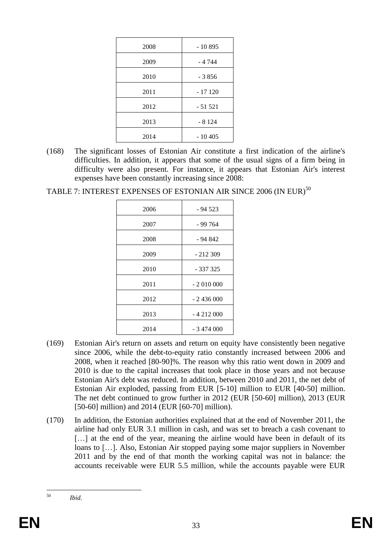| 2008 | $-10895$ |
|------|----------|
| 2009 | - 4 744  |
| 2010 | $-3856$  |
| 2011 | $-17120$ |
| 2012 | $-51521$ |
| 2013 | $-8124$  |
| 2014 | $-10405$ |

- (168) The significant losses of Estonian Air constitute a first indication of the airline's difficulties. In addition, it appears that some of the usual signs of a firm being in difficulty were also present. For instance, it appears that Estonian Air's interest expenses have been constantly increasing since 2008:
- TABLE 7: INTEREST EXPENSES OF ESTONIAN AIR SINCE 2006 (IN EUR)<sup>50</sup>

| 2006 | $-94523$   |
|------|------------|
| 2007 | - 99 764   |
| 2008 | - 94 842   |
| 2009 | $-212309$  |
| 2010 | - 337 325  |
| 2011 | $-2010000$ |
| 2012 | $-2436000$ |
| 2013 | $-4212000$ |
| 2014 | $-3474000$ |

- (169) Estonian Air's return on assets and return on equity have consistently been negative since 2006, while the debt-to-equity ratio constantly increased between 2006 and 2008, when it reached [80-90]%. The reason why this ratio went down in 2009 and 2010 is due to the capital increases that took place in those years and not because Estonian Air's debt was reduced. In addition, between 2010 and 2011, the net debt of Estonian Air exploded, passing from EUR [5-10] million to EUR [40-50] million. The net debt continued to grow further in 2012 (EUR [50-60] million), 2013 (EUR [50-60] million) and 2014 (EUR [60-70] million).
- (170) In addition, the Estonian authorities explained that at the end of November 2011, the airline had only EUR 3.1 million in cash, and was set to breach a cash covenant to [...] at the end of the year, meaning the airline would have been in default of its loans to […]. Also, Estonian Air stopped paying some major suppliers in November 2011 and by the end of that month the working capital was not in balance: the accounts receivable were EUR 5.5 million, while the accounts payable were EUR

<sup>50</sup> <sup>50</sup> *Ibid*.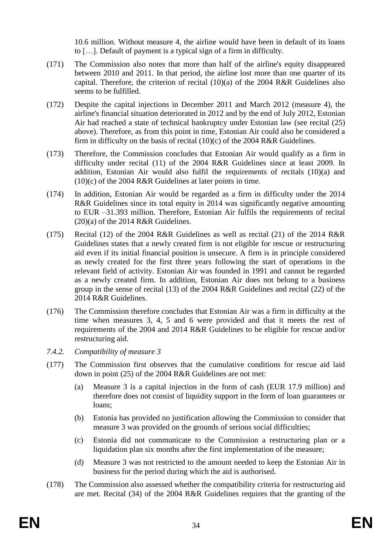10.6 million. Without measure 4, the airline would have been in default of its loans to […]. Default of payment is a typical sign of a firm in difficulty.

- (171) The Commission also notes that more than half of the airline's equity disappeared between 2010 and 2011. In that period, the airline lost more than one quarter of its capital. Therefore, the criterion of recital (10)(a) of the 2004 R&R Guidelines also seems to be fulfilled.
- (172) Despite the capital injections in December 2011 and March 2012 (measure 4), the airline's financial situation deteriorated in 2012 and by the end of July 2012, Estonian Air had reached a state of technical bankruptcy under Estonian law (see recital (25) above). Therefore, as from this point in time, Estonian Air could also be considered a firm in difficulty on the basis of recital  $(10)(c)$  of the 2004 R&R Guidelines.
- (173) Therefore, the Commission concludes that Estonian Air would qualify as a firm in difficulty under recital (11) of the 2004 R&R Guidelines since at least 2009. In addition, Estonian Air would also fulfil the requirements of recitals (10)(a) and  $(10)(c)$  of the 2004 R&R Guidelines at later points in time.
- (174) In addition, Estonian Air would be regarded as a firm in difficulty under the 2014 R&R Guidelines since its total equity in 2014 was significantly negative amounting to EUR –31.393 million. Therefore, Estonian Air fulfils the requirements of recital  $(20)(a)$  of the 2014 R&R Guidelines.
- (175) Recital (12) of the 2004 R&R Guidelines as well as recital (21) of the 2014 R&R Guidelines states that a newly created firm is not eligible for rescue or restructuring aid even if its initial financial position is unsecure. A firm is in principle considered as newly created for the first three years following the start of operations in the relevant field of activity. Estonian Air was founded in 1991 and cannot be regarded as a newly created firm. In addition, Estonian Air does not belong to a business group in the sense of recital (13) of the 2004 R&R Guidelines and recital (22) of the 2014 R&R Guidelines.
- (176) The Commission therefore concludes that Estonian Air was a firm in difficulty at the time when measures 3, 4, 5 and 6 were provided and that it meets the rest of requirements of the 2004 and 2014 R&R Guidelines to be eligible for rescue and/or restructuring aid.
- *7.4.2. Compatibility of measure 3*
- (177) The Commission first observes that the cumulative conditions for rescue aid laid down in point (25) of the 2004 R&R Guidelines are not met:
	- (a) Measure 3 is a capital injection in the form of cash (EUR 17.9 million) and therefore does not consist of liquidity support in the form of loan guarantees or loans;
	- (b) Estonia has provided no justification allowing the Commission to consider that measure 3 was provided on the grounds of serious social difficulties;
	- (c) Estonia did not communicate to the Commission a restructuring plan or a liquidation plan six months after the first implementation of the measure;
	- (d) Measure 3 was not restricted to the amount needed to keep the Estonian Air in business for the period during which the aid is authorised.
- (178) The Commission also assessed whether the compatibility criteria for restructuring aid are met. Recital (34) of the 2004 R&R Guidelines requires that the granting of the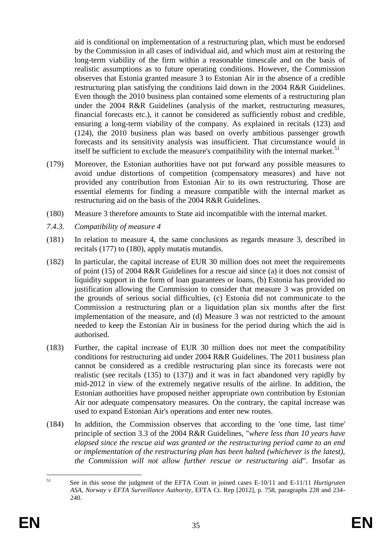aid is conditional on implementation of a restructuring plan, which must be endorsed by the Commission in all cases of individual aid, and which must aim at restoring the long-term viability of the firm within a reasonable timescale and on the basis of realistic assumptions as to future operating conditions. However, the Commission observes that Estonia granted measure 3 to Estonian Air in the absence of a credible restructuring plan satisfying the conditions laid down in the 2004 R&R Guidelines. Even though the 2010 business plan contained some elements of a restructuring plan under the 2004 R&R Guidelines (analysis of the market, restructuring measures, financial forecasts etc.), it cannot be considered as sufficiently robust and credible, ensuring a long-term viability of the company. As explained in recitals (123) and (124), the 2010 business plan was based on overly ambitious passenger growth forecasts and its sensitivity analysis was insufficient. That circumstance would in itself be sufficient to exclude the measure's compatibility with the internal market.<sup>51</sup>

- (179) Moreover, the Estonian authorities have not put forward any possible measures to avoid undue distortions of competition (compensatory measures) and have not provided any contribution from Estonian Air to its own restructuring. Those are essential elements for finding a measure compatible with the internal market as restructuring aid on the basis of the 2004 R&R Guidelines.
- (180) Measure 3 therefore amounts to State aid incompatible with the internal market.
- *7.4.3. Compatibility of measure 4*
- (181) In relation to measure 4, the same conclusions as regards measure 3, described in recitals (177) to (180), apply mutatis mutandis.
- (182) In particular, the capital increase of EUR 30 million does not meet the requirements of point (15) of 2004 R&R Guidelines for a rescue aid since (a) it does not consist of liquidity support in the form of loan guarantees or loans, (b) Estonia has provided no justification allowing the Commission to consider that measure 3 was provided on the grounds of serious social difficulties, (c) Estonia did not communicate to the Commission a restructuring plan or a liquidation plan six months after the first implementation of the measure, and (d) Measure 3 was not restricted to the amount needed to keep the Estonian Air in business for the period during which the aid is authorised.
- (183) Further, the capital increase of EUR 30 million does not meet the compatibility conditions for restructuring aid under 2004 R&R Guidelines. The 2011 business plan cannot be considered as a credible restructuring plan since its forecasts were not realistic (see recitals (135) to (137)) and it was in fact abandoned very rapidly by mid-2012 in view of the extremely negative results of the airline. In addition, the Estonian authorities have proposed neither appropriate own contribution by Estonian Air nor adequate compensatory measures. On the contrary, the capital increase was used to expand Estonian Air's operations and enter new routes.
- (184) In addition, the Commission observes that according to the 'one time, last time' principle of section 3.3 of the 2004 R&R Guidelines, "*where less than 10 years have elapsed since the rescue aid was granted or the restructuring period came to an end or implementation of the restructuring plan has been halted (whichever is the latest), the Commission will not allow further rescue or restructuring aid*". Insofar as

<sup>51</sup> <sup>51</sup> See in this sense the judgment of the EFTA Court in joined cases E-10/11 and E-11/11 *Hurtigruten ASA, Norway v EFTA Surveillance Authority*, EFTA Ct. Rep [2012], p. 758, paragraphs 228 and 234- 240.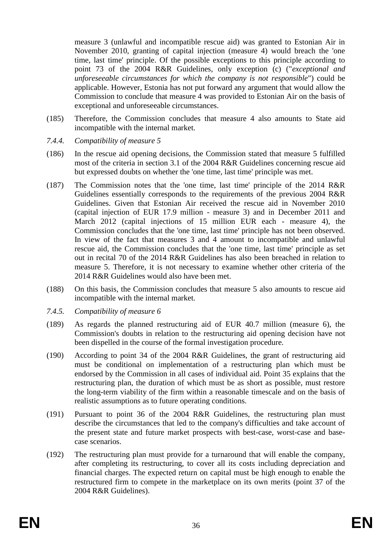measure 3 (unlawful and incompatible rescue aid) was granted to Estonian Air in November 2010, granting of capital injection (measure 4) would breach the 'one time, last time' principle. Of the possible exceptions to this principle according to point 73 of the 2004 R&R Guidelines, only exception (c) ("*exceptional and unforeseeable circumstances for which the company is not responsible*") could be applicable. However, Estonia has not put forward any argument that would allow the Commission to conclude that measure 4 was provided to Estonian Air on the basis of exceptional and unforeseeable circumstances.

- (185) Therefore, the Commission concludes that measure 4 also amounts to State aid incompatible with the internal market.
- *7.4.4. Compatibility of measure 5*
- (186) In the rescue aid opening decisions, the Commission stated that measure 5 fulfilled most of the criteria in section 3.1 of the 2004 R&R Guidelines concerning rescue aid but expressed doubts on whether the 'one time, last time' principle was met.
- (187) The Commission notes that the 'one time, last time' principle of the 2014 R&R Guidelines essentially corresponds to the requirements of the previous 2004 R&R Guidelines. Given that Estonian Air received the rescue aid in November 2010 (capital injection of EUR 17.9 million - measure 3) and in December 2011 and March 2012 (capital injections of 15 million EUR each - measure 4), the Commission concludes that the 'one time, last time' principle has not been observed. In view of the fact that measures 3 and 4 amount to incompatible and unlawful rescue aid, the Commission concludes that the 'one time, last time' principle as set out in recital 70 of the 2014 R&R Guidelines has also been breached in relation to measure 5. Therefore, it is not necessary to examine whether other criteria of the 2014 R&R Guidelines would also have been met.
- (188) On this basis, the Commission concludes that measure 5 also amounts to rescue aid incompatible with the internal market.
- *7.4.5. Compatibility of measure 6*
- (189) As regards the planned restructuring aid of EUR 40.7 million (measure 6), the Commission's doubts in relation to the restructuring aid opening decision have not been dispelled in the course of the formal investigation procedure.
- (190) According to point 34 of the 2004 R&R Guidelines, the grant of restructuring aid must be conditional on implementation of a restructuring plan which must be endorsed by the Commission in all cases of individual aid. Point 35 explains that the restructuring plan, the duration of which must be as short as possible, must restore the long-term viability of the firm within a reasonable timescale and on the basis of realistic assumptions as to future operating conditions.
- (191) Pursuant to point 36 of the 2004 R&R Guidelines, the restructuring plan must describe the circumstances that led to the company's difficulties and take account of the present state and future market prospects with best-case, worst-case and basecase scenarios.
- (192) The restructuring plan must provide for a turnaround that will enable the company, after completing its restructuring, to cover all its costs including depreciation and financial charges. The expected return on capital must be high enough to enable the restructured firm to compete in the marketplace on its own merits (point 37 of the 2004 R&R Guidelines).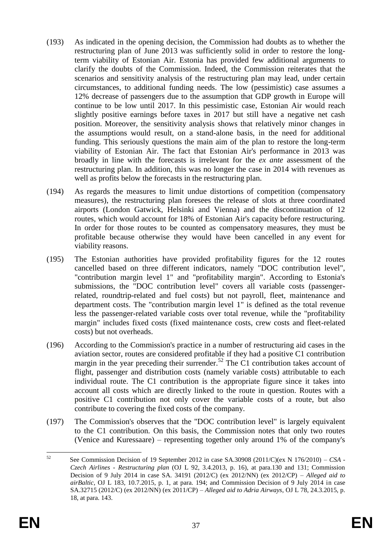- (193) As indicated in the opening decision, the Commission had doubts as to whether the restructuring plan of June 2013 was sufficiently solid in order to restore the longterm viability of Estonian Air. Estonia has provided few additional arguments to clarify the doubts of the Commission. Indeed, the Commission reiterates that the scenarios and sensitivity analysis of the restructuring plan may lead, under certain circumstances, to additional funding needs. The low (pessimistic) case assumes a 12% decrease of passengers due to the assumption that GDP growth in Europe will continue to be low until 2017. In this pessimistic case, Estonian Air would reach slightly positive earnings before taxes in 2017 but still have a negative net cash position. Moreover, the sensitivity analysis shows that relatively minor changes in the assumptions would result, on a stand-alone basis, in the need for additional funding. This seriously questions the main aim of the plan to restore the long-term viability of Estonian Air. The fact that Estonian Air's performance in 2013 was broadly in line with the forecasts is irrelevant for the *ex ante* assessment of the restructuring plan. In addition, this was no longer the case in 2014 with revenues as well as profits below the forecasts in the restructuring plan.
- (194) As regards the measures to limit undue distortions of competition (compensatory measures), the restructuring plan foresees the release of slots at three coordinated airports (London Gatwick, Helsinki and Vienna) and the discontinuation of 12 routes, which would account for 18% of Estonian Air's capacity before restructuring. In order for those routes to be counted as compensatory measures, they must be profitable because otherwise they would have been cancelled in any event for viability reasons.
- (195) The Estonian authorities have provided profitability figures for the 12 routes cancelled based on three different indicators, namely "DOC contribution level", "contribution margin level 1" and "profitability margin". According to Estonia's submissions, the "DOC contribution level" covers all variable costs (passengerrelated, roundtrip-related and fuel costs) but not payroll, fleet, maintenance and department costs. The "contribution margin level 1" is defined as the total revenue less the passenger-related variable costs over total revenue, while the "profitability margin" includes fixed costs (fixed maintenance costs, crew costs and fleet-related costs) but not overheads.
- (196) According to the Commission's practice in a number of restructuring aid cases in the aviation sector, routes are considered profitable if they had a positive C1 contribution margin in the year preceding their surrender.<sup>52</sup> The C1 contribution takes account of flight, passenger and distribution costs (namely variable costs) attributable to each individual route. The C1 contribution is the appropriate figure since it takes into account all costs which are directly linked to the route in question. Routes with a positive C1 contribution not only cover the variable costs of a route, but also contribute to covering the fixed costs of the company.
- (197) The Commission's observes that the "DOC contribution level" is largely equivalent to the C1 contribution. On this basis, the Commission notes that only two routes (Venice and Kuressaare) – representing together only around 1% of the company's

<sup>52</sup> <sup>52</sup> See Commission Decision of 19 September 2012 in case SA.30908 (2011/C)(ex N 176/2010) – *CSA - Czech Airlines - Restructuring plan* (OJ L 92, 3.4.2013, p. 16), at para.130 and 131; Commission Decision of 9 July 2014 in case SA. 34191 (2012/C) (ex 2012/NN) (ex 2012/CP) – *Alleged aid to airBaltic*, OJ L 183, 10.7.2015, p. 1, at para. 194; and Commission Decision of 9 July 2014 in case SA.32715 (2012/C) (ex 2012/NN) (ex 2011/CP) – *Alleged aid to Adria Airways*, OJ L 78, 24.3.2015, p. 18, at para. 143.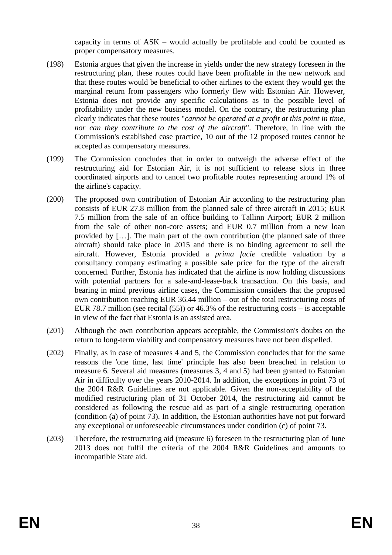capacity in terms of ASK – would actually be profitable and could be counted as proper compensatory measures.

- (198) Estonia argues that given the increase in yields under the new strategy foreseen in the restructuring plan, these routes could have been profitable in the new network and that these routes would be beneficial to other airlines to the extent they would get the marginal return from passengers who formerly flew with Estonian Air. However, Estonia does not provide any specific calculations as to the possible level of profitability under the new business model. On the contrary, the restructuring plan clearly indicates that these routes "*cannot be operated at a profit at this point in time, nor can they contribute to the cost of the aircraft*". Therefore, in line with the Commission's established case practice, 10 out of the 12 proposed routes cannot be accepted as compensatory measures.
- (199) The Commission concludes that in order to outweigh the adverse effect of the restructuring aid for Estonian Air, it is not sufficient to release slots in three coordinated airports and to cancel two profitable routes representing around 1% of the airline's capacity.
- (200) The proposed own contribution of Estonian Air according to the restructuring plan consists of EUR 27.8 million from the planned sale of three aircraft in 2015; EUR 7.5 million from the sale of an office building to Tallinn Airport; EUR 2 million from the sale of other non-core assets; and EUR 0.7 million from a new loan provided by […]. The main part of the own contribution (the planned sale of three aircraft) should take place in 2015 and there is no binding agreement to sell the aircraft. However, Estonia provided a *prima facie* credible valuation by a consultancy company estimating a possible sale price for the type of the aircraft concerned. Further, Estonia has indicated that the airline is now holding discussions with potential partners for a sale-and-lease-back transaction. On this basis, and bearing in mind previous airline cases, the Commission considers that the proposed own contribution reaching EUR 36.44 million – out of the total restructuring costs of EUR 78.7 million (see recital (55)) or 46.3% of the restructuring costs – is acceptable in view of the fact that Estonia is an assisted area.
- (201) Although the own contribution appears acceptable, the Commission's doubts on the return to long-term viability and compensatory measures have not been dispelled.
- (202) Finally, as in case of measures 4 and 5, the Commission concludes that for the same reasons the 'one time, last time' principle has also been breached in relation to measure 6. Several aid measures (measures 3, 4 and 5) had been granted to Estonian Air in difficulty over the years 2010-2014. In addition, the exceptions in point 73 of the 2004 R&R Guidelines are not applicable. Given the non-acceptability of the modified restructuring plan of 31 October 2014, the restructuring aid cannot be considered as following the rescue aid as part of a single restructuring operation (condition (a) of point 73). In addition, the Estonian authorities have not put forward any exceptional or unforeseeable circumstances under condition (c) of point 73.
- (203) Therefore, the restructuring aid (measure 6) foreseen in the restructuring plan of June 2013 does not fulfil the criteria of the 2004 R&R Guidelines and amounts to incompatible State aid.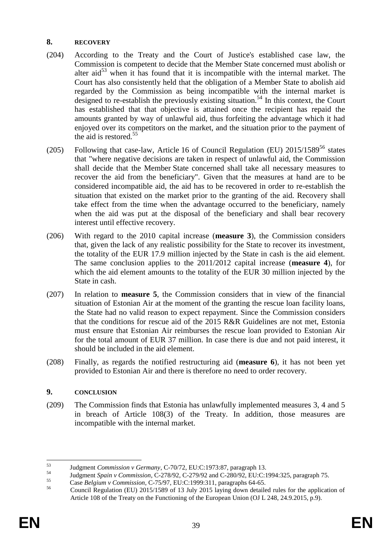## **8. RECOVERY**

- (204) According to the Treaty and the Court of Justice's established case law, the Commission is competent to decide that the Member State concerned must abolish or alter aid<sup>53</sup> when it has found that it is incompatible with the internal market. The Court has also consistently held that the obligation of a Member State to abolish aid regarded by the Commission as being incompatible with the internal market is designed to re-establish the previously existing situation.<sup>54</sup> In this context, the Court has established that that objective is attained once the recipient has repaid the amounts granted by way of unlawful aid, thus forfeiting the advantage which it had enjoyed over its competitors on the market, and the situation prior to the payment of the aid is restored.<sup>55</sup>
- (205) Following that case-law, Article 16 of Council Regulation (EU)  $2015/1589^{56}$  states that "where negative decisions are taken in respect of unlawful aid, the Commission shall decide that the Member State concerned shall take all necessary measures to recover the aid from the beneficiary". Given that the measures at hand are to be considered incompatible aid, the aid has to be recovered in order to re-establish the situation that existed on the market prior to the granting of the aid. Recovery shall take effect from the time when the advantage occurred to the beneficiary, namely when the aid was put at the disposal of the beneficiary and shall bear recovery interest until effective recovery.
- (206) With regard to the 2010 capital increase (**measure 3**), the Commission considers that, given the lack of any realistic possibility for the State to recover its investment, the totality of the EUR 17.9 million injected by the State in cash is the aid element. The same conclusion applies to the 2011/2012 capital increase (**measure 4**), for which the aid element amounts to the totality of the EUR 30 million injected by the State in cash.
- (207) In relation to **measure 5**, the Commission considers that in view of the financial situation of Estonian Air at the moment of the granting the rescue loan facility loans, the State had no valid reason to expect repayment. Since the Commission considers that the conditions for rescue aid of the 2015 R&R Guidelines are not met, Estonia must ensure that Estonian Air reimburses the rescue loan provided to Estonian Air for the total amount of EUR 37 million. In case there is due and not paid interest, it should be included in the aid element.
- (208) Finally, as regards the notified restructuring aid (**measure 6**), it has not been yet provided to Estonian Air and there is therefore no need to order recovery.

## **9. CONCLUSION**

(209) The Commission finds that Estonia has unlawfully implemented measures 3, 4 and 5 in breach of Article 108(3) of the Treaty. In addition, those measures are incompatible with the internal market.

 $53$ <sup>53</sup> Judgment *Commission v Germany*, C-70/72, EU:C:1973:87, paragraph 13.

<sup>54</sup> Judgment *Spain v Commission*, C-278/92, C-279/92 and C-280/92, EU:C:1994:325, paragraph 75.

<sup>55</sup> Case *Belgium v Commission*, C-75/97, EU:C:1999:311, paragraphs 64-65.

<sup>56</sup> Council Regulation (EU) 2015/1589 of 13 July 2015 laying down detailed rules for the application of Article 108 of the Treaty on the Functioning of the European Union (OJ L 248, 24.9.2015, p.9).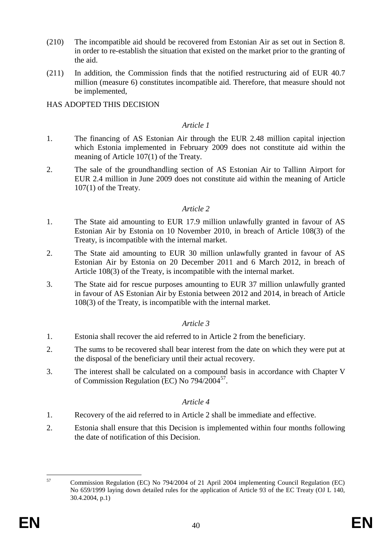- (210) The incompatible aid should be recovered from Estonian Air as set out in Section 8. in order to re-establish the situation that existed on the market prior to the granting of the aid.
- (211) In addition, the Commission finds that the notified restructuring aid of EUR 40.7 million (measure 6) constitutes incompatible aid. Therefore, that measure should not be implemented,

HAS ADOPTED THIS DECISION

### *Article 1*

- 1. The financing of AS Estonian Air through the EUR 2.48 million capital injection which Estonia implemented in February 2009 does not constitute aid within the meaning of Article 107(1) of the Treaty.
- 2. The sale of the groundhandling section of AS Estonian Air to Tallinn Airport for EUR 2.4 million in June 2009 does not constitute aid within the meaning of Article 107(1) of the Treaty.

### *Article 2*

- 1. The State aid amounting to EUR 17.9 million unlawfully granted in favour of AS Estonian Air by Estonia on 10 November 2010, in breach of Article 108(3) of the Treaty, is incompatible with the internal market.
- 2. The State aid amounting to EUR 30 million unlawfully granted in favour of AS Estonian Air by Estonia on 20 December 2011 and 6 March 2012, in breach of Article 108(3) of the Treaty, is incompatible with the internal market.
- 3. The State aid for rescue purposes amounting to EUR 37 million unlawfully granted in favour of AS Estonian Air by Estonia between 2012 and 2014, in breach of Article 108(3) of the Treaty, is incompatible with the internal market.

### *Article 3*

- 1. Estonia shall recover the aid referred to in Article 2 from the beneficiary.
- 2. The sums to be recovered shall bear interest from the date on which they were put at the disposal of the beneficiary until their actual recovery.
- 3. The interest shall be calculated on a compound basis in accordance with Chapter V of Commission Regulation (EC) No 794/2004<sup>57</sup>.

## *Article 4*

- 1. Recovery of the aid referred to in Article 2 shall be immediate and effective.
- 2. Estonia shall ensure that this Decision is implemented within four months following the date of notification of this Decision.

<sup>57</sup> <sup>57</sup> Commission Regulation (EC) No 794/2004 of 21 April 2004 implementing Council Regulation (EC) No 659/1999 laying down detailed rules for the application of Article 93 of the EC Treaty (OJ L 140, 30.4.2004, p.1)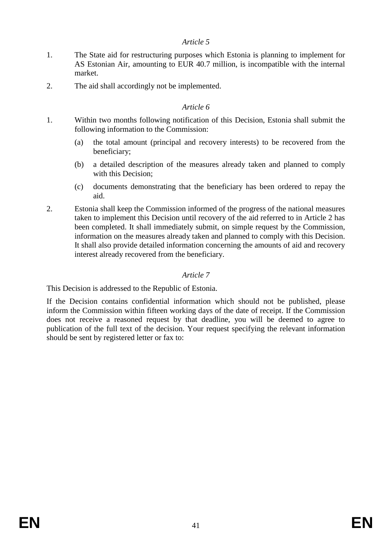## *Article 5*

- 1. The State aid for restructuring purposes which Estonia is planning to implement for AS Estonian Air, amounting to EUR 40.7 million, is incompatible with the internal market.
- 2. The aid shall accordingly not be implemented.

# *Article 6*

- 1. Within two months following notification of this Decision, Estonia shall submit the following information to the Commission:
	- (a) the total amount (principal and recovery interests) to be recovered from the beneficiary;
	- (b) a detailed description of the measures already taken and planned to comply with this Decision;
	- (c) documents demonstrating that the beneficiary has been ordered to repay the aid.
- 2. Estonia shall keep the Commission informed of the progress of the national measures taken to implement this Decision until recovery of the aid referred to in Article 2 has been completed. It shall immediately submit, on simple request by the Commission, information on the measures already taken and planned to comply with this Decision. It shall also provide detailed information concerning the amounts of aid and recovery interest already recovered from the beneficiary.

# *Article 7*

This Decision is addressed to the Republic of Estonia.

If the Decision contains confidential information which should not be published, please inform the Commission within fifteen working days of the date of receipt. If the Commission does not receive a reasoned request by that deadline, you will be deemed to agree to publication of the full text of the decision. Your request specifying the relevant information should be sent by registered letter or fax to: